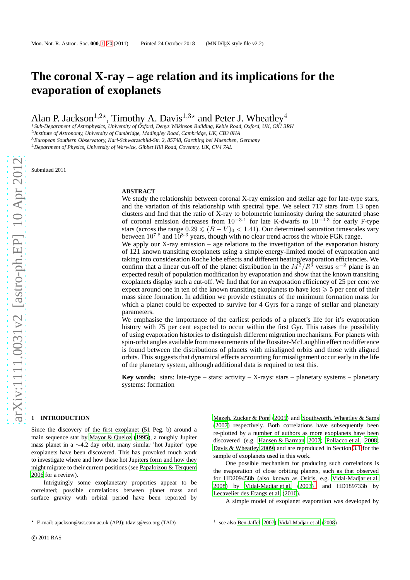# **The coronal X-ray – age relation and its implications for the evaporation of exoplanets**

Alan P. Jackson<sup>1,2\*</sup>, Timothy A. Davis<sup>1,3\*</sup> and Peter J. Wheatley<sup>4</sup>

<sup>1</sup>*Sub-Department of Astrophysics, University of Oxford, Denys Wilkinson Building, Keble Road, Oxford, UK, OX1 3RH* 2 *Institute of Astronomy, University of Cambridge, Madingley Road, Cambridge, UK, CB3 0HA* <sup>3</sup>*European Southern Observatory, Karl-Schwarzschild-Str. 2, 85748, Garching bei Muenchen, Germany*

<sup>4</sup>*Department of Physics, University of Warwick, Gibbet Hill Road, Coventry, UK, CV4 7AL*

Submitted 2011

## **ABSTRACT**

We study the relationship between coronal X-ray emission and stellar age for late-type stars, and the variation of this relationship with spectral type. We select 717 stars from 13 open clusters and find that the ratio of X-ray to bolometric luminosity during the saturated phase of coronal emission decreases from  $10^{-3.1}$  for late K-dwarfs to  $10^{-4.3}$  for early F-type stars (across the range  $0.29 \leq (B - V)_0 < 1.41$ ). Our determined saturation timescales vary between  $10^{7.8}$  and  $10^{8.3}$  years, though with no clear trend across the whole FGK range.

We apply our X-ray emission – age relations to the investigation of the evaporation history of 121 known transiting exoplanets using a simple energy-limited model of evaporation and taking into consideration Roche lobe effects and different heating/evaporation efficiencies. We confirm that a linear cut-off of the planet distribution in the  $M^2/R^3$  versus  $a^{-2}$  plane is an expected result of population modification by evaporation and show that the known transiting exoplanets display such a cut-off. We find that for an evaporation efficiency of 25 per cent we expect around one in ten of the known transiting exoplanets to have lost  $\geq 5$  per cent of their mass since formation. In addition we provide estimates of the minimum formation mass for which a planet could be expected to survive for 4 Gyrs for a range of stellar and planetary parameters.

We emphasise the importance of the earliest periods of a planet's life for it's evaporation history with 75 per cent expected to occur within the first Gyr. This raises the possibility of using evaporation histories to distinguish different migration mechanisms. For planets with spin-orbit angles available from measurements of the Rossiter-McLaughlin effect no difference is found between the distributions of planets with misaligned orbits and those with aligned orbits. This suggests that dynamical effects accounting for misalignment occur early in the life of the planetary system, although additional data is required to test this.

**Key words:** stars: late-type – stars: activity – X-rays: stars – planetary systems – planetary systems: formation

## <span id="page-0-0"></span>**1 INTRODUCTION**

Since the discovery of the first exoplanet (51 Peg. b) around a main sequence star by [Mayor & Queloz \(1995](#page-18-0)), a roughly Jupiter mass planet in a ∼4.2 day orbit, many similar 'hot Jupiter' type exoplanets have been discovered. This has provoked much work to investigate where and how these hot Jupiters form and how they might migrate to their current positions (see [Papaloizou & Terquem](#page-18-1) [2006](#page-18-1) for a review).

Intriguingly some exoplanetary properties appear to be correlated; possible correlations between planet mass and surface gravity with orbital period have been reported by

One possible mechanism for producing such correlations is the evaporation of close orbiting planets, such as that observed for HD209458b (also known as Osiris, e.g. [Vidal-Madjar et al.](#page-19-2) [2008](#page-19-2)) by [Vidal-Madjar et al.](#page-19-3)  $(2003)^1$  $(2003)^1$  $(2003)^1$  and HD189733b by [Lecavelier des Etangs et al. \(2010\)](#page-18-5).

<span id="page-0-1"></span>A simple model of exoplanet evaporation was developed by

[Mazeh, Zucker & Pont \(2005\)](#page-18-2) and [Southworth, Wheatley & Sams](#page-19-0) [\(2007](#page-19-0)) respectively. Both correlations have subsequently been re-plotted by a number of authors as more exoplanets have been discovered (e.g. [Hansen & Barman 2007](#page-18-3); [Pollacco et al. 2008](#page-19-1); [Davis & Wheatley 2009](#page-18-4)) and are reproduced in Section [3.1](#page-7-0) for the sample of exoplanets used in this work.

<sup>⋆</sup> E-mail: ajackson@ast.cam.ac.uk (APJ); tdavis@eso.org (TAD)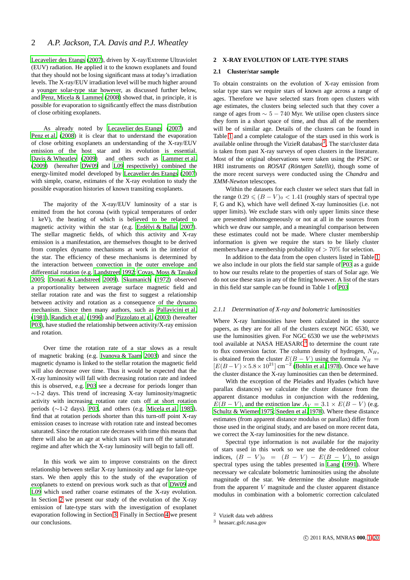[Lecavelier des Etangs \(2007](#page-18-7)), driven by X-ray/Extreme Ultraviolet (EUV) radiation. He applied it to the known exoplanets and found that they should not be losing significant mass at today's irradiation levels. The X-ray/EUV irradiation level will be much higher around a younger solar-type star however, as discussed further below, and [Penz, Micela & Lammer \(2008\)](#page-19-4) showed that, in principle, it is possible for evaporation to significantly effect the mass distribution of close orbiting exoplanets.

As already noted by [Lecavelier des Etangs \(2007\)](#page-18-7) and [Penz et al. \(2008\)](#page-19-4) it is clear that to understand the evaporation of close orbiting exoplanets an understanding of the X-ray/EUV emission of the host star and its evolution is essential. [Davis & Wheatley](#page-18-4) [\(2009](#page-18-4)) and others such as [Lammer et al.](#page-18-8) [\(2009](#page-18-8)) (hereafter [DW09](#page-18-4) and [L09](#page-18-8) respectively) combined the energy-limited model developed by [Lecavelier des Etangs](#page-18-7) [\(2007](#page-18-7)) with simple, coarse, estimates of the X-ray evolution to study the possible evaporation histories of known transiting exoplanets.

The majority of the X-ray/EUV luminosity of a star is emitted from the hot corona (with typical temperatures of order 1 keV), the heating of which is believed to be related to magnetic activity within the star (e.g. Erdélyi & Ballai 2007). The stellar magnetic fields, of which this activity and X-ray emission is a manifestation, are themselves thought to be derived from complex dynamo mechanisms at work in the interior of the star. The efficiency of these mechanisms is determined by the interaction between convection in the outer envelope and differential rotation (e.g. [Landstreet 1992;](#page-18-10) [Covas, Moss &](#page-18-11) Tavakol [2005](#page-18-11); [Donati & Landstreet 2009\)](#page-18-12). [Skumanich \(1972](#page-19-5)) observed a proportionality between average surface magnetic field and stellar rotation rate and was the first to suggest a relationship between activity and rotation as a consequence of the dynamo mechanism. Since then many authors, such as [Pallavicini et al.](#page-18-13) [\(1981](#page-18-13)), [Randich et al. \(1996](#page-19-6)) and [Pizzolato et al. \(2003](#page-19-7)) (hereafter [P03](#page-19-7)), have studied the relationship between activity/X-ray emission and rotation.

Over time the rotation rate of a star slows as a result of magnetic braking (e.g. [Ivanova & Taam 2003](#page-18-14)) and since the magnetic dynamo is linked to the stellar rotation the magnetic field will also decrease over time. Thus it would be expected that the X-ray luminosity will fall with decreasing rotation rate and indeed this is observed, e.g. [P03](#page-19-7) see a decrease for periods longer than  $\sim$ 1-2 days. This trend of increasing X-ray luminosity/magnetic activity with increasing rotation rate cuts off at short rotation periods (∼1-2 days). [P03,](#page-19-7) and others (e.g. [Micela et al. 1985](#page-18-15)), find that at rotation periods shorter than this turn-off point X-ray emission ceases to increase with rotation rate and instead becomes saturated. Since the rotation rate decreases with time this means that there will also be an age at which stars will turn off the saturated regime and after which the X-ray luminosity will begin to fall off.

In this work we aim to improve constraints on the direct relationship between stellar X-ray luminosity and age for late-type stars. We then apply this to the study of the evaporation of exoplanets to extend on previous work such as that of [DW09](#page-18-4) and [L09](#page-18-8) which used rather coarse estimates of the X-ray evolution. In Section [2](#page-1-0) we present our study of the evolution of the X-ray emission of late-type stars with the investigation of exoplanet evaporation following in Section [3.](#page-7-1) Finally in Section [4](#page-17-0) we present our conclusions.

## <span id="page-1-3"></span><span id="page-1-0"></span>**2 X-RAY EVOLUTION OF LATE-TYPE STARS**

## **2.1 Cluster/star sample**

To obtain constraints on the evolution of X-ray emission from solar type stars we require stars of known age across a range of ages. Therefore we have selected stars from open clusters with age estimates, the clusters being selected such that they cover a range of ages from  $\sim 5 - 740$  Myr. We utilise open clusters since they form in a short space of time, and thus all of the members will be of similar age. Details of the clusters can be found in Table [1](#page-2-0) and a complete catalogue of the stars used in this work is available online through the VizieR database $^2$  $^2$ . The star/cluster data is taken from past X-ray surveys of open clusters in the literature. Most of the original observations were taken using the PSPC or HRI instruments on *ROSAT (Röntgen Satellit)*, though some of the more recent surveys were conducted using the *Chandra* and *XMM-Newton* telescopes.

Within the datasets for each cluster we select stars that fall in the range  $0.29 \leq (B - V)_0 < 1.41$  (roughly stars of spectral type F, G and K), which have well defined X-ray luminosities (i.e. not upper limits). We exclude stars with only upper limits since these are presented inhomogeneously or not at all in the sources from which we draw our sample, and a meaningful comparison between these estimates could not be made. Where cluster membership information is given we require the stars to be likely cluster members/have a membership probability of  $> 70\%$  for selection.

In addition to the data from the open clusters listed in Table [1](#page-2-0) we also include in our plots the field star sample of [P03](#page-19-7) as a guide to how our results relate to the properties of stars of Solar age. We do not use these stars in any of the fitting however. A list of the stars in this field star sample can be found in Table 1 of [P03](#page-19-7)

#### *2.1.1 Determination of X-ray and bolometric luminosities*

Where X-ray luminosities have been calculated in the source papers, as they are for all of the clusters except NGC 6530, we use the luminosities given. For NGC 6530 we use the webPIMMS tool available at NASA HEASARC<sup>[3](#page-1-2)</sup> to determine the count rate to flux conversion factor. The column density of hydrogen,  $N_H$ , is obtained from the cluster  $E(B - V)$  using the formula  $N_H$  =  $[E(B-V) \times 5.8 \times 10^{21}]$  cm<sup>-2</sup> [\(Bohlin et al. 1978\)](#page-18-16). Once we have the cluster distance the X-ray luminosities can then be determined.

With the exception of the Pleiades and Hyades (which have parallax distances) we calculate the cluster distance from the apparent distance modulus in conjunction with the reddening,  $E(B - V)$ , and the extinction law  $Av = 3.1 \times E(B - V)$  (e.g. [Schultz & Wiemer 1975](#page-19-8); [Sneden et al. 1978\)](#page-19-9). Where these distance estimates (from apparent distance modulus or parallax) differ from those used in the original study, and are based on more recent data, we correct the X-ray luminosities for the new distance.

Spectral type information is not available for the majority of stars used in this work so we use the de-reddened colour indices,  $(B - V)_0 = (B - V) - E(B - V)$ , to assign spectral types using the tables presented in [Lang \(1991](#page-18-17)). Where necessary we calculate bolometric luminosities using the absolute magnitude of the star. We determine the absolute magnitude from the apparent  $V$  magnitude and the cluster apparent distance modulus in combination with a bolometric correction calculated

<sup>2</sup> VizieR data web address

<span id="page-1-2"></span><span id="page-1-1"></span><sup>3</sup> heasarc.gsfc.nasa.gov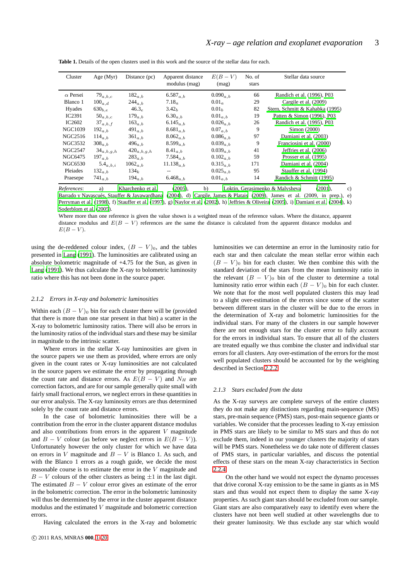<span id="page-2-0"></span>

| Cluster         | Age $(Myr)$           | Distance (pc)     | Apparent distance<br>modulus (mag) | $E(B-V)$<br>(mag) | No. of<br>stars | Stellar data source             |
|-----------------|-----------------------|-------------------|------------------------------------|-------------------|-----------------|---------------------------------|
| $\alpha$ Persei | $79_{a,b,c}$          | $182_{a,b}$       | $6.587_{a,b}$                      | $0.090_{a,b}$     | 66              | Randich et al. (1996), P03      |
| Blanco 1        | $100_{a,d}$           | $244_{a,b}$       | $7.18_{a}$                         | $0.01_a$          | 29              | Cargile et al. (2009)           |
| Hyades          | $630_{b.e.}$          | 46.3 <sub>e</sub> | 3.42 <sub>b</sub>                  | 0.01 <sub>b</sub> | 82              | Stern, Schmitt & Kahabka (1995) |
| IC2391          | $50_{a,b,c}$          | $179_{a,b}$       | $6.30_{a,b}$                       | $0.01_{a,b}$      | 19              | Patten & Simon (1996), P03      |
| IC2602          | $37_{a,b,f}$          | $163_{a,b}$       | 6.145 $a,b$                        | $0.026_{a,b}$     | 26              | Randich et al. (1995), P03      |
| NGC1039         | $192$ <sub>a, b</sub> | $491_{a,b}$       | $8.681_{a.b}$                      | $0.07_{a,b}$      | 9               | Simon (2000)                    |
| NGC2516         | $114_{a,b}$           | $361_{a,b}$       | $8.062_{a,b}$                      | $0.086_{a.b}$     | 97              | Damiani et al. (2003)           |
| <b>NGC3532</b>  | $308_{a,b}$           | $496_{a,b}$       | $8.599_{a.b}$                      | $0.039_{a,b}$     | 9               | Franciosini et al. (2000)       |
| NGC2547         | $34_{a,b,g,h}$        | $420_{a,b,g,h}$   | $8.41_{a,b}$                       | $0.039_{a,b}$     | 41              | Jeffries et al. (2006)          |
| NGC6475         | $197_{a,b}$           | $283_{a,b}$       | 7.584 $a,b$                        | $0.102_{a,b}$     | 59              | Prosser et al. (1995)           |
| NGC6530         | $5.4_{a,b,i}$         | $1062_{a,b}$      | $11.138_{a,b}$                     | $0.315_{a,b}$     | 171             | Damiani et al. (2004)           |
| Pleiades        | $132_{a,b}$           | 134 <sub>k</sub>  | $- -$                              | $0.025_{a,b}$     | 95              | Stauffer et al. (1994)          |
| Praesepe        | $741_{a,b}$           | $194_{a,b}$       | $6.468_{a,b}$                      | $0.01_{a,b}$      | 14              | Randich & Schmitt (1995)        |

**Table 1.** Details of the open clusters used in this work and the source of the stellar data for each.

*References*: a) [Kharchenko et al. \(2005](#page-18-24)), b) [Loktin, Gerasimenko & Malysheva \(2001](#page-18-25)), c) Barrado y Navascués, Stauffer & Jayawardhana (2004), d) [Cargile, James & Platais \(2009\)](#page-18-18), James et al. (2009, in prep.), e) [Perryman et al. \(1998](#page-19-16)), f) [Stauffer et al. \(1997](#page-19-17)), g) [Naylor et al. \(2002](#page-18-27)), h) [Jeffries & Oliveira \(2005](#page-18-28)), i) [Damiani et al.](#page-18-23) [\(2004\)](#page-18-23), k) [Soderblom et al. \(2005](#page-19-18)).

Where more than one reference is given the value shown is a weighted mean of the reference values. Where the distance, apparent distance modulus and  $E(B - V)$  references are the same the distance is calculated from the apparent distance modulus and  $E(B-V)$ .

using the de-reddened colour index,  $(B - V)_0$ , and the tables presented in [Lang](#page-18-17) [\(1991](#page-18-17)). The luminosities are calibrated using an absolute bolometric magnitude of +4.75 for the Sun, as given in [Lang \(1991](#page-18-17)). We thus calculate the X-ray to bolometric luminosity ratio where this has not been done in the source paper.

#### *2.1.2 Errors in X-ray and bolometric luminosities*

Within each  $(B - V)_0$  bin for each cluster there will be (provided that there is more than one star present in that bin) a scatter in the X-ray to bolometric luminosity ratios. There will also be errors in the luminosity ratios of the individual stars and these may be similar in magnitude to the intrinsic scatter.

Where errors in the stellar X-ray luminosities are given in the source papers we use them as provided, where errors are only given in the count rates or X-ray luminosities are not calculated in the source papers we estimate the error by propagating through the count rate and distance errors. As  $E(B - V)$  and  $N_H$  are correction factors, and are for our sample generally quite small with fairly small fractional errors, we neglect errors in these quantities in our error analysis. The X-ray luminosity errors are thus determined solely by the count rate and distance errors.

In the case of bolometric luminosities there will be a contribution from the error in the cluster apparent distance modulus and also contributions from errors in the apparent  $V$  magnitude and  $B - V$  colour (as before we neglect errors in  $E(B - V)$ ). Unfortunately however the only cluster for which we have data on errors in V magnitude and  $B - V$  is Blanco 1. As such, and with the Blanco 1 errors as a rough guide, we decide the most reasonable course is to estimate the error in the V magnitude and  $B - V$  colours of the other clusters as being  $\pm 1$  in the last digit. The estimated  $B - V$  colour error gives an estimate of the error in the bolometric correction. The error in the bolometric luminosity will thus be determined by the error in the cluster apparent distance modulus and the estimated V magnitude and bolometric correction errors.

Having calculated the errors in the X-ray and bolometric

luminosities we can determine an error in the luminosity ratio for each star and then calculate the mean stellar error within each  $(B - V)$ <sup>0</sup> bin for each cluster. We then combine this with the standard deviation of the stars from the mean luminosity ratio in the relevant  $(B - V)_0$  bin of the cluster to determine a total luminosity ratio error within each  $(B - V)_0$  bin for each cluster. We note that for the most well populated clusters this may lead to a slight over-estimation of the errors since some of the scatter between different stars in the cluster will be due to the errors in the determination of X-ray and bolometric luminosities for the individual stars. For many of the clusters in our sample however there are not enough stars for the cluster error to fully account for the errors in individual stars. To ensure that all of the clusters are treated equally we thus combine the cluster and individual star errors for all clusters. Any over-estimation of the errors for the most well populated clusters should be accounted for by the weighting described in Section [2.2.2.](#page-5-0)

## <span id="page-2-1"></span>*2.1.3 Stars excluded from the data*

As the X-ray surveys are complete surveys of the entire clusters they do not make any distinctions regarding main-sequence (MS) stars, pre-main sequence (PMS) stars, post-main sequence giants or variables. We consider that the processes leading to X-ray emission in PMS stars are likely to be similar to MS stars and thus do not exclude them, indeed in our younger clusters the majority of stars will be PMS stars. Nonetheless we do take note of different classes of PMS stars, in particular variables, and discuss the potential effects of these stars on the mean X-ray characteristics in Section [2.2.4.](#page-6-0)

On the other hand we would not expect the dynamo processes that drive coronal X-ray emission to be the same in giants as in MS stars and thus would not expect them to display the same X-ray properties. As such giant stars should be excluded from our sample. Giant stars are also comparatively easy to identify even where the clusters have not been well studied at other wavelengths due to their greater luminosity. We thus exclude any star which would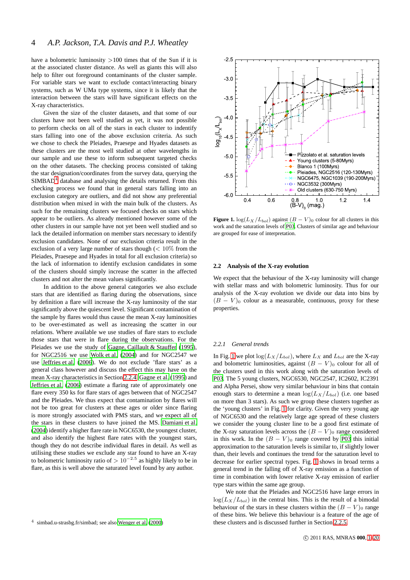have a bolometric luminosity  $>100$  times that of the Sun if it is at the associated cluster distance. As well as giants this will also help to filter out foreground contaminants of the cluster sample. For variable stars we want to exclude contact/interacting binary systems, such as W UMa type systems, since it is likely that the interaction between the stars will have significant effects on the X-ray characteristics.

Given the size of the cluster datasets, and that some of our clusters have not been well studied as yet, it was not possible to perform checks on all of the stars in each cluster to indentify stars falling into one of the above exclusion criteria. As such we chose to check the Pleiades, Praesepe and Hyades datasets as these clusters are the most well studied at other wavelengths in our sample and use these to inform subsequent targeted checks on the other datasets. The checking process consisted of taking the star designation/coordinates from the survey data, querying the  $SIMBAD<sup>4</sup>$  $SIMBAD<sup>4</sup>$  $SIMBAD<sup>4</sup>$  database and analysing the details returned. From this checking process we found that in general stars falling into an exclusion category are outliers, and did not show any preferential distribution when mixed in with the main bulk of the clusters. As such for the remaining clusters we focused checks on stars which appear to be outliers. As already mentioned however some of the other clusters in our sample have not yet been well studied and so lack the detailed information on member stars necessary to identify exclusion candidates. None of our exclusion criteria result in the exclusion of a very large number of stars though  $\left($  < 10% from the Pleiades, Praesepe and Hyades in total for all exclusion criteria) so the lack of information to identify exclusion candidates in some of the clusters should simply increase the scatter in the affected clusters and not alter the mean values significantly.

In addition to the above general categories we also exclude stars that are identified as flaring during the observations, since by definition a flare will increase the X-ray luminosity of the star significantly above the quiescent level. Significant contamination of the sample by flares would thus cause the mean X-ray luminosities to be over-estimated as well as increasing the scatter in our relations. Where available we use studies of flare stars to exclude those stars that were in flare during the observations. For the Pleiades we use the study of [Gagne, Caillault & Stauffer](#page-18-29) [\(1995](#page-18-29)), for NGC2516 we use [Wolk et al.](#page-19-19) [\(2004](#page-19-19)) and for NGC2547 we use [Jeffries et al. \(2006](#page-18-22)). We do not exclude 'flare stars' as a general class however and discuss the effect this may have on the mean X-ray characteristics in Section [2.2.4.](#page-6-0) [Gagne et al. \(1995\)](#page-18-29) and [Jeffries et al.](#page-18-22) [\(2006](#page-18-22)) estimate a flaring rate of approximately one flare every 350 ks for flare stars of ages between that of NGC2547 and the Pleiades. We thus expect that contamination by flares will not be too great for clusters at these ages or older since flaring is more strongly associated with PMS stars, and we expect all of the stars in these clusters to have joined the MS. [Damiani et al.](#page-18-23) [\(2004](#page-18-23)) identify a higher flare rate in NGC6530, the youngest cluster, and also identify the highest flare rates with the youngest stars, though they do not describe individual flares in detail. As well as utilising these studies we exclude any star found to have an X-ray to bolometric luminosity ratio of  $> 10^{-2.5}$  as highly likely to be in flare, as this is well above the saturated level found by any author.



<span id="page-3-1"></span>**Figure 1.** log( $L_X/L_{bol}$ ) against  $(B - V)_0$  colour for all clusters in this work and the saturation levels of [P03](#page-19-7). Clusters of similar age and behaviour are grouped for ease of interpretation.

#### **2.2 Analysis of the X-ray evolution**

We expect that the behaviour of the X-ray luminosity will change with stellar mass and with bolometric luminosity. Thus for our analysis of the X-ray evolution we divide our data into bins by  $(B - V)$ <sup>0</sup> colour as a measurable, continuous, proxy for these properties.

## *2.2.1 General trends*

In Fig. [1](#page-3-1) we plot  $log(L_X/L_{bol})$ , where  $L_X$  and  $L_{bol}$  are the X-ray and bolometric luminosities, against  $(B - V)_0$  colour for all of the clusters used in this work along with the saturation levels of [P03.](#page-19-7) The 5 young clusters, NGC6530, NGC2547, IC2602, IC2391 and Alpha Persei, show very similar behaviour in bins that contain enough stars to determine a mean  $\log(L_X/L_{bol})$  (i.e. one based on more than 3 stars). As such we group these clusters together as the 'young clusters' in Fig. [1](#page-3-1) for clarity. Given the very young age of NGC6530 and the relatively large age spread of these clusters we consider the young cluster line to be a good first estimate of the X-ray saturation levels across the  $(B - V)_0$  range considered in this work. In the  $(B - V)_0$  range covered by [P03](#page-19-7) this initial approximation to the saturation levels is similar to, if slightly lower than, their levels and continues the trend for the saturation level to decrease for earlier spectral types. Fig. [1](#page-3-1) shows in broad terms a general trend in the falling off of X-ray emission as a function of time in combination with lower relative X-ray emission of earlier type stars within the same age group.

We note that the Pleiades and NGC2516 have large errors in  $log(L_X/L_{bol})$  in the central bins. This is the result of a bimodal behaviour of the stars in these clusters within the  $(B - V)_0$  range of these bins. We believe this behaviour is a feature of the age of these clusters and is discussed further in Section [2.2.5.](#page-7-2)

<span id="page-3-0"></span><sup>4</sup> simbad.u-strasbg.fr/simbad; see also [Wenger et al. \(2000](#page-19-20))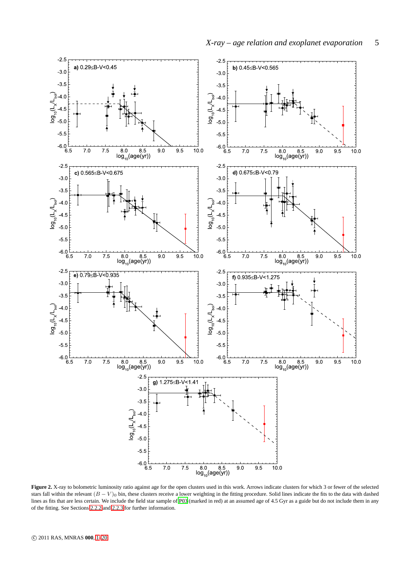

<span id="page-4-0"></span>**Figure 2.** X-ray to bolometric luminosity ratio against age for the open clusters used in this work. Arrows indicate clusters for which 3 or fewer of the selected stars fall within the relevant  $(B - V)_0$  bin, these clusters receive a lower weighting in the fitting procedure. Solid lines indicate the fits to the data with dashed lines as fits that are less certain. We include the field star sample of [P03](#page-19-7) (marked in red) at an assumed age of 4.5 Gyr as a guide but do not include them in any of the fitting. See Sections [2.2.2](#page-5-0) and [2.2.3](#page-5-1) for further information.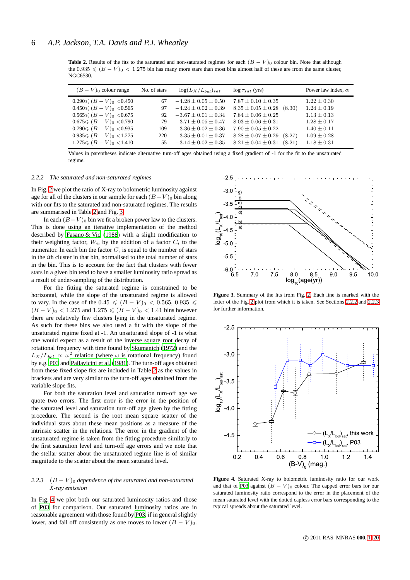<span id="page-5-2"></span>**Table 2.** Results of the fits to the saturated and non-saturated regimes for each  $(B - V)$ <sup>0</sup> colour bin. Note that although the  $0.935 \leqslant (B - V)_0 < 1.275$  bin has many more stars than most bins almost half of these are from the same cluster, NGC6530.

| $(B-V)_0$ colour range                                      | No. of stars | $\log(L_X/L_{bol})_{sat}$                              | $\log \tau_{sat}$ (yrs)                                        | Power law index, $\alpha$          |
|-------------------------------------------------------------|--------------|--------------------------------------------------------|----------------------------------------------------------------|------------------------------------|
| $0.290 \le (B-V)_0 < 0.450$                                 | 67           | $-4.28 \pm 0.05 \pm 0.50$                              | $7.87 \pm 0.10 \pm 0.35$                                       | $1.22 + 0.30$                      |
| $0.450 \le (B-V)_0 < 0.565$<br>$0.565 \leq (B-V)_0 < 0.675$ | 97<br>92     | $-4.24 \pm 0.02 \pm 0.39$<br>$-3.67 \pm 0.01 \pm 0.34$ | $8.35 \pm 0.05 \pm 0.28$<br>(8.30)<br>$7.84 \pm 0.06 \pm 0.25$ | $1.24 \pm 0.19$<br>$1.13 \pm 0.13$ |
| $0.675 \leqslant (B-V)_0 \leqslant 0.790$                   | 79           | $-3.71 \pm 0.05 \pm 0.47$                              | $8.03 \pm 0.06 \pm 0.31$                                       | $1.28 \pm 0.17$                    |
| $0.790 \leqslant (B-V)_0 < 0.935$                           | 109          | $-3.36 \pm 0.02 \pm 0.36$                              | $7.90 \pm 0.05 \pm 0.22$                                       | $1.40 \pm 0.11$                    |
| $0.935 \leq (B - V)_0 < 1.275$                              | 220          | $-3.35 \pm 0.01 \pm 0.37$                              | $8.28 \pm 0.07 \pm 0.29$<br>(8.27)                             | $1.09 \pm 0.28$                    |
| $1.275 \leqslant (B-V)_0 \leqslant 1.410$                   |              | 55 $-3.14 \pm 0.02 \pm 0.35$                           | $8.21 \pm 0.04 \pm 0.31$<br>(8.21)                             | $1.18 \pm 0.31$                    |

Values in parentheses indicate alternative turn-off ages obtained using a fixed gradient of -1 for the fit to the unsaturated regime.

## <span id="page-5-0"></span>*2.2.2 The saturated and non-saturated regimes*

In Fig. [2](#page-4-0) we plot the ratio of X-ray to bolometric luminosity against age for all of the clusters in our sample for each  $(B-V)_0$  bin along with our fits to the saturated and non-saturated regimes. The results are summarised in Table [2](#page-5-2) and Fig. [3.](#page-5-3)

In each  $(B-V)_0$  bin we fit a broken power law to the clusters. This is done using an iterative implementation of the method described by [Fasano & Vio \(1988\)](#page-18-30) with a slight modification to their weighting factor,  $W_i$ , by the addition of a factor  $C_i$  to the numerator. In each bin the factor  $C_i$  is equal to the number of stars in the ith cluster in that bin, normalised to the total number of stars in the bin. This is to account for the fact that clusters with fewer stars in a given bin tend to have a smaller luminosity ratio spread as a result of under-sampling of the distribution.

For the fitting the saturated regime is constrained to be horizontal, while the slope of the unsaturated regime is allowed to vary. In the case of the 0.45  $\leq$   $(B - V)_0$  < 0.565, 0.935  $\leq$  $(B - V)_0 < 1.275$  and  $1.275 \le (B - V)_0 < 1.41$  bins however there are relatively few clusters lying in the unsaturated regime. As such for these bins we also used a fit with the slope of the unsaturated regime fixed at -1. An unsaturated slope of -1 is what one would expect as a result of the inverse square root decay of rotational frequency with time found by [Skumanich \(1972](#page-19-5)) and the  $L_X/L_{bol} \propto \omega^2$  relation (where  $\omega$  is rotational frequency) found by e.g. [P03](#page-19-7) and [Pallavicini et al.](#page-18-13) [\(1981](#page-18-13)). The turn-off ages obtained from these fixed slope fits are included in Table [2](#page-5-2) as the values in brackets and are very similar to the turn-off ages obtained from the variable slope fits.

For both the saturation level and saturation turn-off age we quote two errors. The first error is the error in the position of the saturated level and saturation turn-off age given by the fitting procedure. The second is the root mean square scatter of the individual stars about these mean positions as a measure of the intrinsic scatter in the relations. The error in the gradient of the unsaturated regime is taken from the fitting procedure similarly to the first saturation level and turn-off age errors and we note that the stellar scatter about the unsaturated regime line is of similar magnitude to the scatter about the mean saturated level.

## <span id="page-5-1"></span>2.2.3  $(B - V)$ <sup>0</sup> *dependence of the saturated and non-saturated X-ray emission*

In Fig. [4](#page-5-4) we plot both our saturated luminosity ratios and those of [P03](#page-19-7) for comparison. Our saturated luminosity ratios are in reasonable agreement with those found by [P03](#page-19-7), if in general slightly lower, and fall off consistently as one moves to lower  $(B - V)_0$ .



<span id="page-5-3"></span>**Figure 3.** Summary of the fits from Fig. [2.](#page-4-0) Each line is marked with the letter of the Fig. [2](#page-4-0) plot from which it is taken. See Sections [2.2.2](#page-5-0) and [2.2.3](#page-5-1) for further information.



<span id="page-5-4"></span>**Figure 4.** Saturated X-ray to bolometric luminosity ratio for our work and that of [P03](#page-19-7) against  $(B - V)_0$  colour. The capped error bars for our saturated luminosity ratio correspond to the error in the placement of the mean saturated level with the dotted capless error bars corresponding to the typical spreads about the saturated level.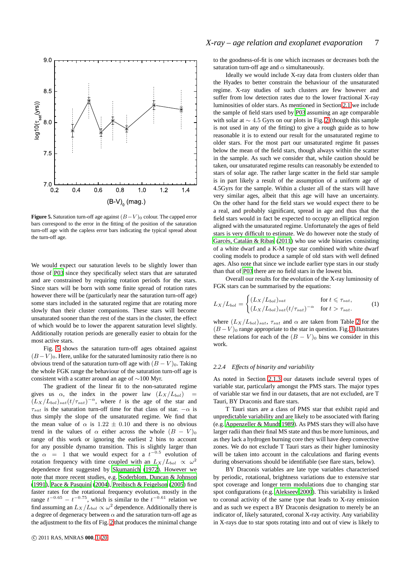

<span id="page-6-1"></span>**Figure 5.** Saturation turn-off age against  $(B-V)_0$  colour. The capped error bars correspond to the error in the fitting of the position of the saturation turn-off age with the capless error bars indicating the typical spread about the turn-off age.

We would expect our saturation levels to be slightly lower than those of [P03](#page-19-7) since they specifically select stars that are saturated and are constrained by requiring rotation periods for the stars. Since stars will be born with some finite spread of rotation rates however there will be (particularly near the saturation turn-off age) some stars included in the saturated regime that are rotating more slowly than their cluster companions. These stars will become unsaturated sooner than the rest of the stars in the cluster, the effect of which would be to lower the apparent saturation level slightly. Additionally rotation periods are generally easier to obtain for the most active stars.

Fig. [5](#page-6-1) shows the saturation turn-off ages obtained against  $(B-V)$ <sup>0</sup>. Here, unlike for the saturated luminosity ratio there is no obvious trend of the saturation turn-off age with  $(B - V)_0$ . Taking the whole FGK range the behaviour of the saturation turn-off age is consistent with a scatter around an age of ∼100 Myr.

The gradient of the linear fit to the non-saturated regime gives us  $\alpha$ , the index in the power law  $(L_X/L_{bol})$  $(L_X/L_{bol})_{sat}(t/\tau_{sat})^{-\alpha}$ , where t is the age of the star and  $\tau_{sat}$  is the saturation turn-off time for that class of star.  $-\alpha$  is thus simply the slope of the unsaturated regime. We find that the mean value of  $\alpha$  is 1.22  $\pm$  0.10 and there is no obvious trend in the values of  $\alpha$  either across the whole  $(B - V)_0$ range of this work or ignoring the earliest 2 bins to account for any possible dynamo transition. This is slightly larger than the  $\alpha$  = 1 that we would expect for a  $t^{-0.5}$  evolution of rotation frequency with time coupled with an  $L_X/L_{bol} \propto \omega^2$ dependence first suggested by [Skumanich \(1972\)](#page-19-5). However we note that more recent studies, e.g. [Soderblom, Duncan & Johnson](#page-19-21) [\(1991](#page-19-21)), [Pace & Pasquini \(2004\)](#page-18-31), [Preibisch & Feigelson](#page-19-22) [\(2005](#page-19-22)) find faster rates for the rotational frequency evolution, mostly in the range  $t^{-0.65} - t^{-0.75}$ , which is similar to the  $t^{-0.61}$  relation we find assuming an  $L_X/L_{bol} \propto \omega^2$  dependence. Additionally there is a degree of degeneracy between  $\alpha$  and the saturation turn-off age as the adjustment to the fits of Fig. [2](#page-4-0) that produces the minimal change to the goodness-of-fit is one which increases or decreases both the saturation turn-off age and  $\alpha$  simultaneously.

Ideally we would include X-ray data from clusters older than the Hyades to better constrain the behaviour of the unsaturated regime. X-ray studies of such clusters are few however and suffer from low detection rates due to the lower fractional X-ray luminosities of older stars. As mentioned in Section [2.1](#page-1-3) we include the sample of field stars used by [P03](#page-19-7) assuming an age comparable with solar at  $\sim$  4.5 Gyrs on our plots in Fig. [2](#page-4-0) (though this sample is not used in any of the fitting) to give a rough guide as to how reasonable it is to extend our result for the unsaturated regime to older stars. For the most part our unsaturated regime fit passes below the mean of the field stars, though always within the scatter in the sample. As such we consider that, while caution should be taken, our unsaturated regime results can reasonably be extended to stars of solar age. The rather large scatter in the field star sample is in part likely a result of the assumption of a uniform age of 4.5Gyrs for the sample. Within a cluster all of the stars will have very similar ages, albeit that this age will have an uncertainty. On the other hand for the field stars we would expect there to be a real, and probably significant, spread in age and thus that the field stars would in fact be expected to occupy an elliptical region aligned with the unsaturated regime. Unfortunately the ages of field stars is very difficult to estimate. We do however note the study of Garcés, Catalán & Ribas (2011) who use wide binaries consisting of a white dwarf and a K-M type star combined with white dwarf cooling models to produce a sample of old stars with well defined ages. Also note that since we include earlier type stars in our study than that of [P03](#page-19-7) there are no field stars in the lowest bin.

<span id="page-6-2"></span>Overall our results for the evolution of the X-ray luminosity of FGK stars can be summarised by the equations:

$$
L_X/L_{bol} = \begin{cases} (L_X/L_{bol})_{sat} & \text{for } t \leq \tau_{sat}, \\ (L_X/L_{bol})_{sat}(t/\tau_{sat})^{-\alpha} & \text{for } t > \tau_{sat}. \end{cases}
$$
 (1)

where  $(L_X/L_{bol})_{sat}$ ,  $\tau_{sat}$  and  $\alpha$  are taken from Table [2](#page-5-2) for the  $(B-V)_0$  range appropriate to the star in question. Fig. [3](#page-5-3) illustrates these relations for each of the  $(B - V)<sub>0</sub>$  bins we consider in this work.

## <span id="page-6-0"></span>*2.2.4 Effects of binarity and variability*

As noted in Section [2.1.3](#page-2-1) our datasets include several types of variable star, particularly amongst the PMS stars. The major types of variable star we find in our datasets, that are not excluded, are T Tauri, BY Draconis and flare stars.

T Tauri stars are a class of PMS star that exhibit rapid and unpredictable variability and are likely to be associated with flaring (e.g. [Appenzeller & Mundt 1989](#page-18-33)). As PMS stars they will also have larger radii than their final MS state and thus be more luminous, and as they lack a hydrogen burning core they will have deep convective zones. We do not exclude T Tauri stars as their higher luminosity will be taken into account in the calculations and flaring events during observations should be identifiable (see flare stars, below).

BY Draconis variables are late type variables characterised by periodic, rotational, brightness variations due to extensive star spot coverage and longer term modulations due to changing star spot configurations (e.g. [Alekseev 2000](#page-18-34)). This variability is linked to coronal activity of the same type that leads to X-ray emission and as such we expect a BY Draconis designation to merely be an indicator of, likely saturated, coronal X-ray activity. Any variability in X-rays due to star spots rotating into and out of view is likely to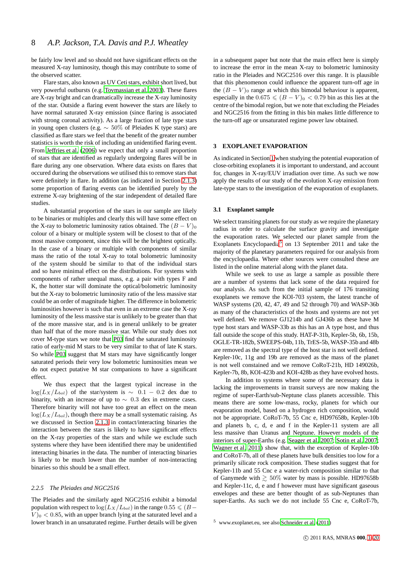be fairly low level and so should not have significant effects on the measured X-ray luminosity, though this may contribute to some of the observed scatter.

Flare stars, also known as UV Ceti stars, exhibit short lived, but very powerful outbursts (e.g. [Tovmassian et al. 2003](#page-19-23)). These flares are X-ray bright and can dramatically increase the X-ray luminosity of the star. Outside a flaring event however the stars are likely to have normal saturated X-ray emission (since flaring is associated with strong coronal activity). As a large fraction of late type stars in young open clusters (e.g. ∼ 50% of Pleiades K type stars) are classified as flare stars we feel that the benefit of the greater number statistics is worth the risk of including an unidentified flaring event. From [Jeffries et al.](#page-18-22) [\(2006](#page-18-22)) we expect that only a small proportion of stars that are identified as regularly undergoing flares will be in flare during any one observation. Where data exists on flares that occured during the observations we utilised this to remove stars that were definitely in flare. In addition (as indicated in Section [2.1.3\)](#page-2-1) some proportion of flaring events can be identified purely by the extreme X-ray brightening of the star independent of detailed flare studies.

A substantial proportion of the stars in our sample are likely to be binaries or multiples and clearly this will have some effect on the X-ray to bolometric luminosity ratios obtained. The  $(B - V)_0$ colour of a binary or multiple system will be closest to that of the most massive component, since this will be the brightest optically. In the case of a binary or multiple with components of similar mass the ratio of the total X-ray to total bolometric luminosity of the system should be similar to that of the individual stars and so have minimal effect on the distributions. For systems with components of rather unequal mass, e.g. a pair with types F and K, the hotter star will dominate the optical/bolometric luminosity but the X-ray to bolometric luminosity ratio of the less massive star could be an order of magnitude higher. The difference in bolometric luminosities however is such that even in an extreme case the X-ray luminosity of the less massive star is unlikely to be greater than that of the more massive star, and is in general unlikely to be greater than half that of the more massive star. While our study does not cover M-type stars we note that [P03](#page-19-7) find the saturated luminosity ratio of early-mid M stars to be very similar to that of late K stars. So while [P03](#page-19-7) suggest that M stars may have significantly longer saturated periods their very low bolometric luminosities mean we do not expect putative M star companions to have a significant effect.

We thus expect that the largest typical increase in the  $log(L_X/L_{bol})$  of the star/system is ~ 0.1 – 0.2 dex due to binarity, with an increase of up to  $\sim$  0.3 dex in extreme cases. Therefore binarity will not have too great an effect on the mean  $log(L_X/L_{bol})$ , though there may be a small systematic raising. As we discussed in Section [2.1.3](#page-2-1) in contact/interacting binaries the interaction between the stars is likely to have significant effects on the X-ray properties of the stars and while we exclude such systems where they have been identified there may be unidentified interacting binaries in the data. The number of interacting binaries is likely to be much lower than the number of non-interacting binaries so this should be a small effect.

## <span id="page-7-2"></span>*2.2.5 The Pleiades and NGC2516*

The Pleiades and the similarly aged NGC2516 exhibit a bimodal population with respect to  $\log(L_X/L_{bol})$  in the range  $0.55 \leqslant (B-\epsilon)$  $V$ <sub>0</sub> < 0.85, with an upper branch lying at the saturated level and a lower branch in an unsaturated regime. Further details will be given in a subsequent paper but note that the main effect here is simply to increase the error in the mean X-ray to bolometric luminosity ratio in the Pleiades and NGC2516 over this range. It is plausible that this phenomenon could influence the apparent turn-off age in the  $(B - V)$ <sup>0</sup> range at which this bimodal behaviour is apparent, especially in the  $0.675 \leq (B - V)_0 < 0.79$  bin as this lies at the centre of the bimodal region, but we note that excluding the Pleiades and NGC2516 from the fitting in this bin makes little difference to the turn-off age or unsaturated regime power law obtained.

## <span id="page-7-1"></span>**3 EXOPLANET EVAPORATION**

As indicated in Section [1](#page-0-0) when studying the potential evaporation of close-orbiting exoplanets it is important to understand, and account for, changes in X-ray/EUV irradiation over time. As such we now apply the results of our study of the evolution X-ray emission from late-type stars to the investigation of the evaporation of exoplanets.

#### <span id="page-7-0"></span>**3.1 Exoplanet sample**

We select transiting planets for our study as we require the planetary radius in order to calculate the surface gravity and investigate the evaporation rates. We selected our planet sample from the Exoplanets Encyclopaedia<sup>[5](#page-7-3)</sup> on 13 September 2011 and take the majority of the planetary parameters required for our analysis from the encyclopaedia. Where other sources were consulted these are listed in the online material along with the planet data.

While we seek to use as large a sample as possible there are a number of systems that lack some of the data required for our analysis. As such from the initial sample of 176 transiting exoplanets we remove the KOI-703 system, the latest tranche of WASP systems (20, 42, 47, 49 and 52 through 70) and WASP-36b as many of the characteristics of the hosts and systems are not yet well defined. We remove GJ1214b and GJ436b as these have M type host stars and WASP-33b as this has an A type host, and thus fall outside the scope of this study. HAT-P-31b, Kepler-5b, 6b, 15b, OGLE-TR-182b, SWEEPS-04b, 11b, TrES-5b, WASP-35b and 48b are removed as the spectral type of the host star is not well defined. Kepler-10c, 11g and 19b are removed as the mass of the planet is not well constained and we remove CoRoT-21b, HD 149026b, Kepler-7b, 8b, KOI-423b and KOI-428b as they have evolved hosts.

In addition to systems where some of the necessary data is lacking the improvements in transit surveys are now making the regime of super-Earth/sub-Neptune class planets accessible. This means there are some low-mass, rocky, planets for which our evaporation model, based on a hydrogen rich composition, would not be appropriate. CoRoT-7b, 55 Cnc e, HD97658b, Kepler-10b and planets b, c, d, e and f in the Kepler-11 system are all less massive than Uranus and Neptune. However models of the interiors of super-Earths (e.g. [Seager et al. 2007](#page-19-24); [Sotin et](#page-19-25) al. [2007](#page-19-25); [Wagner et al. 2011](#page-19-26)) show that, with the exception of Kepler-10b and CoRoT-7b, all of these planets have bulk densities too low for a primarily silicate rock composition. These studies suggest that for Kepler-11b and 55 Cnc e a water-rich composition similar to that of Ganymede with  $\geq 50\%$  water by mass is possible. HD97658b and Kepler-11c, d, e and f however must have significant gaseous envelopes and these are better thought of as sub-Neptunes than super-Earths. As such we do not include 55 Cnc e, CoRoT-7b,

<span id="page-7-3"></span><sup>5</sup> www.exoplanet.eu, see also [Schneider et al. \(2011\)](#page-19-27)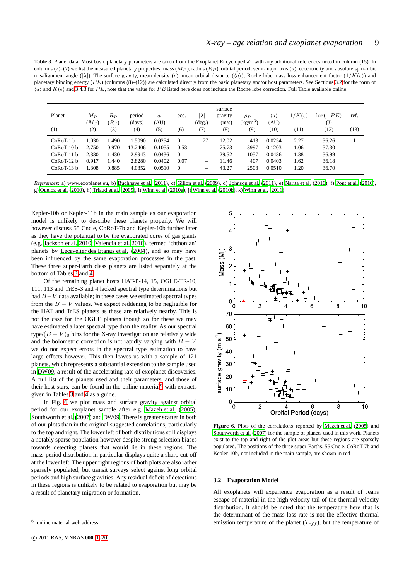<span id="page-8-1"></span>Table 3. Planet data. Most basic planetary parameters are taken from the Exoplanet Encyclopedia<sup>a</sup> with any additional references noted in column (15). In columns (2)–(7) we list the measured planetary properties, mass  $(M_P)$ , radius  $(R_P)$ , orbital period, semi-major axis  $(a)$ , eccentricity and absolute spin-orbit misalignment angle ( $|\lambda|$ ). The surface gravity, mean density ( $\rho$ ), mean orbital distance  $(\langle \alpha \rangle)$ , Roche lobe mass loss enhancement factor  $(1/K(\epsilon))$  and planetary binding energy ( $PE$ ) (columns (8)–(12)) are calculated directly from the basic planetary and/or host parameters. See Sections [3.2](#page-8-0) for the form of  $\langle a \rangle$  and  $K(\epsilon)$  and [3.4.3](#page-13-0) for PE, note that the value for PE listed here does not include the Roche lobe correction. Full Table available online.

| Planet<br>(1) | $M_{P}$<br>$(M_{J})$<br>(2) | $R_P$<br>$(R_{J})$<br>(3) | period<br>(days)<br>(4) | $\boldsymbol{a}$<br>(AU)<br>(5) | ecc.<br>(6) | $ \lambda $<br>$(\text{deg.})$<br>(7) | surface<br>gravity<br>(m/s)<br>(8) | $\rho_P$<br>$(kg/m^3)$<br>(9) | $\langle a \rangle$<br>(AU)<br>(10) | $1/K(\epsilon)$<br>(11) | $log(-PE)$<br>$(\mathrm{J})$<br>(12) | ref.<br>(13) |
|---------------|-----------------------------|---------------------------|-------------------------|---------------------------------|-------------|---------------------------------------|------------------------------------|-------------------------------|-------------------------------------|-------------------------|--------------------------------------|--------------|
| $CoRoT-1 b$   | 1.030                       | 1.490                     | 1.5090                  | 0.0254                          | $\Omega$    | 77                                    | 12.02                              | 413                           | 0.0254                              | 2.27                    | 36.26                                |              |
| $CoRoT-10 h$  | 2.750                       | 0.970                     | 13.2406                 | 0.1055                          | 0.53        | $\overline{\phantom{0}}$              | 75.73                              | 3997                          | 0.1203                              | 1.06                    | 37.30                                |              |
| $CoRoT-11 h$  | 2.330                       | 1.430                     | 2.9943                  | 0.0436                          | $\Omega$    | -                                     | 29.52                              | 1057                          | 0.0436                              | 1.38                    | 36.99                                |              |
| $CoRoT-12 h$  | 0.917                       | 1.440                     | 2.8280                  | 0.0402                          | 0.07        | $\overline{\phantom{0}}$              | 11.46                              | 407                           | 0.0403                              | 1.62                    | 36.18                                |              |
| $CoRoT-13 b$  | 1.308                       | 0.885                     | 4.0352                  | 0.0510                          | $\Omega$    | —                                     | 43.27                              | 2503                          | 0.0510                              | 1.20                    | 36.70                                |              |

*References*: a) www.exoplanet.eu, b) [Buchhave et al. \(2011](#page-18-35)), c) [Gillon et al. \(2009](#page-18-36)), d) [Johnson et al. \(2011\)](#page-18-37), e) [Narita et al. \(2010](#page-18-38)), f) [Pont et al. \(2010](#page-19-28)), g) [Queloz et al. \(2010](#page-19-29)), h) [Triaud et al. \(2009\)](#page-19-30), i) [Winn et al.](#page-19-31) [\(2010a](#page-19-31)), j) [Winn et al. \(2010b](#page-19-32)), k) [Winn et al. \(2011\)](#page-19-33)

Kepler-10b or Kepler-11b in the main sample as our evaporation model is unlikely to describe these planets properly. We will however discuss 55 Cnc e, CoRoT-7b and Kepler-10b further later as they have the potential to be the evaporated cores of gas giants (e.g. [Jackson et al. 2010](#page-18-39); [Valencia et al. 2010\)](#page-19-34), termed 'chthonian' planets by [Lecavelier des Etangs et al. \(2004](#page-18-40)), and so may have been influenced by the same evaporation processes in the past. These three super-Earth class planets are listed separately at the bottom of Tables [3](#page-8-1) and [4.](#page-9-0)

Of the remaining planet hosts HAT-P-14, 15, OGLE-TR-10, 111, 113 and TrES-3 and 4 lacked spectral type determinations but had B−V data available; in these cases we estimated spectral types from the  $B - V$  values. We expect reddening to be negligible for the HAT and TrES planets as these are relatively nearby. This is not the case for the OGLE planets though so for these we may have estimated a later spectral type than the reality. As our spectral type/ $(B - V)$ <sup>0</sup> bins for the X-ray investigation are relatively wide and the bolometric correction is not rapidly varying with  $B - V$ we do not expect errors in the spectral type estimation to have large effects however. This then leaves us with a sample of 121 planets, which represents a substantial extension to the sample used in [DW09](#page-18-4), a result of the accelerating rate of exoplanet discoveries. A full list of the planets used and their parameters, and those of their host stars, can be found in the online material $<sup>6</sup>$  $<sup>6</sup>$  $<sup>6</sup>$  with extracts</sup> given in Tables [3](#page-8-1) and [4](#page-9-0) as a guide.

In Fig. [6](#page-8-3) we plot mass and surface gravity against orbital period for our exoplanet sample after e.g. [Mazeh et al.](#page-18-2) [\(2005](#page-18-2)), [Southworth et al. \(2007\)](#page-19-0) and [DW09](#page-18-4). There is greater scatter in both of our plots than in the original suggested correlations, particularly to the top and right. The lower left of both distributions still displays a notably sparse population however despite strong selection biases towards detecting planets that would lie in these regions. The mass-period distribution in particular displays quite a sharp cut-off at the lower left. The upper right regions of both plots are also rather sparsely populated, but transit surveys select against long orbital periods and high surface gravities. Any residual deficit of detections in these regions is unlikely to be related to evaporation but may be a result of planetary migration or formation.



<span id="page-8-3"></span>**Figure 6.** Plots of the correlations reported by [Mazeh et al. \(2005](#page-18-2)) and [Southworth et al.](#page-19-0) [\(2007](#page-19-0)) for the sample of planets used in this work. Planets exist to the top and right of the plot areas but these regions are sparsely populated. The positions of the three super-Earths, 55 Cnc e, CoRoT-7b and Kepler-10b, not included in the main sample, are shown in red

#### <span id="page-8-0"></span>**3.2 Evaporation Model**

All exoplanets will experience evaporation as a result of Jeans escape of material in the high velocity tail of the thermal velocity distribution. It should be noted that the temperature here that is the determinant of the mass-loss rate is not the effective thermal emission temperature of the planet  $(T_{eff})$ , but the temperature of

<span id="page-8-2"></span><sup>6</sup> online material web address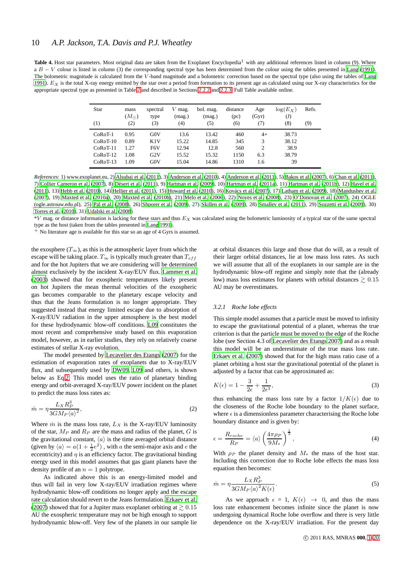<span id="page-9-0"></span>Table 4. Host star parameters. Most original data are taken from the Exoplanet Encyclopedia<sup>1</sup> with any additional references listed in column (9). Where a  $B - V$  colour is listed in column (3) the corresponding spectral type has been determined from the colour using the tables presented in [Lang \(1991](#page-18-17)). The bolometric magnitude is calculated from the V-band magnitude and a bolometric correction based on the spectral type (also using the tables of [Lang](#page-18-17) [1991](#page-18-17)).  $E<sub>X</sub>$  is the total X-ray energy emitted by the star over a period from formation to its present age as calculated using our X-ray characteristics for the appropriate spectral type as presented in Table [2](#page-5-2) and described in Sections [2.2.2](#page-5-0) and [2.2.3.](#page-5-1) Full Table available online.

| Star       | mass<br>$(M_{\odot})$ | spectral<br>type | $V$ mag.<br>(mag.) | bol. mag.<br>(mag.) | distance<br>(pc) | Age<br>(Gyr)<br>(7) | $\log(E_X)$<br>(J)<br>(8) | Refs. |
|------------|-----------------------|------------------|--------------------|---------------------|------------------|---------------------|---------------------------|-------|
| (1)        | (2)                   | (3)              | (4)                | (5)                 | (6)              |                     |                           | (9)   |
| $CoRoT-1$  | 0.95                  | G(0V)            | 13.6               | 13.42               | 460              | $4+$                | 38.73                     |       |
| $CoRoT-10$ | 0.89                  | K1V              | 15.22              | 14.85               | 345              | 3                   | 38.12                     |       |
| $CoRoT-11$ | 1.27                  | F <sub>6</sub> V | 12.94              | 12.8                | 560              | $\overline{c}$      | 38.9                      |       |
| $CoRoT-12$ | 1.08                  | G2V              | 15.52              | 15.32               | 1150             | 6.3                 | 38.79                     |       |
| $CoRoT-13$ | 1.09                  | G0V              | 15.04              | 14.86               | 1310             | 1.6                 | 39                        |       |

*References*: 1) www.exoplanet.eu, 2) [Alsubai et al. \(2011\)](#page-18-41), 3) [Anderson](#page-18-42) et al. [\(2010\)](#page-18-42), 4) [Anderson et al. \(2011\)](#page-18-43), 5) [Bakos et al. \(2007](#page-18-44)), 6) [Chan et al. \(2011](#page-18-45)), 7) [Collier Cameron et al.](#page-18-46) [\(2007](#page-18-46)), 8) [D´esert et al. \(2011](#page-18-47)), 9) [Hartman et al. \(2009\)](#page-18-48), 10) [Hartman et al. \(2011a\)](#page-18-49), 11) [Hartman et al. \(2011b](#page-18-50)), 12) [Havel et al.](#page-18-51) [\(2011](#page-18-51)), 13) [Hebb et al. \(2010\)](#page-18-52), 14) [Hellier et al. \(2011\)](#page-18-53), 15) [Howard et al. \(2010](#page-18-54)), 16) Kovács et al. (2007), 17) [Latham et](#page-18-56) al. [\(2009](#page-18-56)), 18) [Mandushev et al.](#page-18-57) [\(2007](#page-18-57)), 19) [Maxted et al. \(2010a\)](#page-18-58), 20) [Maxted et al. \(2010b\)](#page-18-59), 21) [Melo et al. \(2006\)](#page-18-60), 22) [Noyes et al. \(2008\)](#page-18-61), 23) [O'Donovan](#page-18-62) et al. [\(2007\)](#page-18-62), 24) OGLE (ogle.astrouw.edu.pl), 25) Pál et al. (2008), 26) [Shporer](#page-19-35) et al. [\(2009](#page-19-35)), 27) [Skillen et al. \(2009](#page-19-36)), 28) [Smalley et al. \(2011](#page-19-37)), 29) [Sozzetti et al. \(2009](#page-19-38)), 30) [Torres et al. \(2010\)](#page-19-39), 31) [Udalski et al. \(2008\)](#page-19-40)

 $*V$  mag. or distance information is lacking for these stars and thus  $E<sub>X</sub>$  was calculated using the bolometric luminosity of a typical star of the same spectral type as the host (taken from the tables presented in [Lang 1991\)](#page-18-17).

<sup>+</sup> No literature age is available for this star so an age of 4 Gyrs is assumed.

the exosphere  $(T_\infty)$ , as this is the atmospheric layer from which the escape will be taking place.  $T_{\infty}$  is typically much greater than  $T_{eff}$ and for the hot Jupiters that we are considering will be determined almost exclusively by the incident X-ray/EUV flux. [Lammer et](#page-18-64) al. [\(2003](#page-18-64)) showed that for exospheric temperatures likely present on hot Jupiters the mean thermal velocities of the exospheric gas becomes comparable to the planetary escape velocity and thus that the Jeans formulation is no longer appropriate. They suggested instead that energy limited escape due to absorption of X-ray/EUV radiation in the upper atmosphere is the best model for these hydrodynamic blow-off conditions. [L09](#page-18-8) constitutes the most recent and comprehensive study based on this evaporation model, however, as in earlier studies, they rely on relatively coarse estimates of stellar X-ray evolution.

The model presented by [Lecavelier des Etangs \(2007\)](#page-18-7) for the estimation of evaporation rates of exoplanets due to X-ray/EUV flux, and subsequently used by [DW09,](#page-18-4) [L09](#page-18-8) and others, is shown below as Eq[.2.](#page-9-1) This model uses the ratio of planetary binding energy and orbit-averaged X-ray/EUV power incident on the planet to predict the mass loss rates as:

<span id="page-9-1"></span>
$$
\dot{m} = \eta \frac{L_X R_P^3}{3GM_P \langle a \rangle^2},\tag{2}
$$

Where  $\dot{m}$  is the mass loss rate,  $L_X$  is the X-ray/EUV luminosity of the star,  $M_P$  and  $R_P$  are the mass and radius of the planet,  $G$  is the gravitational constant,  $\langle a \rangle$  is the time averaged orbital distance (given by  $\langle a \rangle = a(1 + \frac{1}{2}e^2)$ , with a the semi-major axis and e the eccentricity) and  $\eta$  is an efficiency factor. The gravitational binding energy used in this model assumes that gas giant planets have the density profile of an  $n = 1$  polytrope.

As indicated above this is an energy-limited model and thus will fail in very low X-ray/EUV irradiation regimes where hydrodynamic blow-off conditions no longer apply and the escape rate calculation should revert to the Jeans formulation. [Erkaev et al.](#page-18-65) [\(2007](#page-18-65)) showed that for a Jupiter mass exoplanet orbiting at  $\geq 0.15$ AU the exospheric temperature may not be high enough to support hydrodynamic blow-off. Very few of the planets in our sample lie

at orbital distances this large and those that do will, as a result of their larger orbital distances, lie at low mass loss rates. As such we will assume that all of the exoplanets in our sample are in the hydrodynamic blow-off regime and simply note that the (already low) mass loss estimates for planets with orbital distances  $\geq 0.15$ AU may be overestimates.

#### <span id="page-9-2"></span>*3.2.1 Roche lobe effects*

This simple model assumes that a particle must be moved to infinity to escape the gravitational potential of a planet, whereas the true criterion is that the particle must be moved to the edge of the Roche lobe (see Section 4.3 of [Lecavelier des Etangs 2007](#page-18-7)) and as a result this model will be an underestimate of the true mass loss rate. [Erkaev et al. \(2007](#page-18-65)) showed that for the high mass ratio case of a planet orbiting a host star the gravitational potential of the planet is adjusted by a factor that can be approximated as:

$$
K(\epsilon) = 1 - \frac{3}{2\epsilon} + \frac{1}{2\epsilon^3},\tag{3}
$$

thus enhancing the mass loss rate by a factor  $1/K(\epsilon)$  due to the closeness of the Roche lobe boundary to the planet surface, where  $\epsilon$  is a dimensionless parameter characterising the Roche lobe boundary distance and is given by:

<span id="page-9-3"></span>
$$
\epsilon = \frac{R_{roche}}{R_P} = \langle a \rangle \left( \frac{4\pi \rho_P}{9M_*} \right)^{\frac{1}{3}},\tag{4}
$$

With  $\rho_P$  the planet density and  $M_*$  the mass of the host star. Including this correction due to Roche lobe effects the mass loss equation then becomes:

$$
\dot{m} = \eta \frac{L_X R_P^3}{3GM_P \langle a \rangle^2 K(\epsilon)}.
$$
\n(5)

As we approach  $\epsilon = 1$ ,  $K(\epsilon) \rightarrow 0$ , and thus the mass loss rate enhancement becomes infinite since the planet is now undergoing dynamical Roche lobe overflow and there is very little dependence on the X-ray/EUV irradiation. For the present day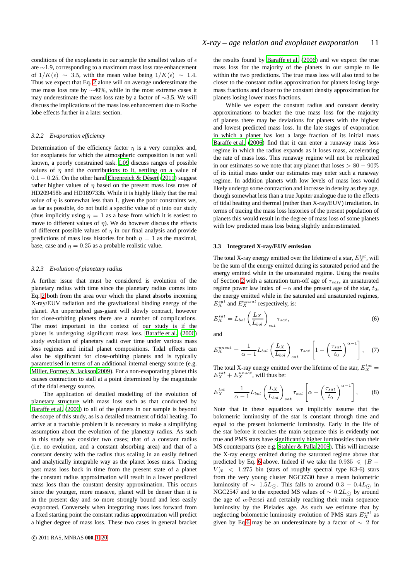conditions of the exoplanets in our sample the smallest values of  $\epsilon$ are ∼1.9, corresponding to a maximum mass loss rate enhancement of  $1/K(\epsilon) \sim 3.5$ , with the mean value being  $1/K(\epsilon) \sim 1.4$ . Thus we expect that Eq. [2](#page-9-1) alone will on average underestimate the true mass loss rate by ∼40%, while in the most extreme cases it may underestimate the mass loss rate by a factor of ∼3.5. We will discuss the implications of the mass loss enhancement due to Roche lobe effects further in a later section.

#### *3.2.2 Evaporation efficiency*

Determination of the efficiency factor  $\eta$  is a very complex and, for exoplanets for which the atmospheric composition is not well known, a poorly constrained task. [L09](#page-18-8) discuss ranges of possible values of  $\eta$  and the contributions to it, settling on a value of  $0.1 - 0.25$ . On the other hand Ehrenreich & Désert [\(2011](#page-18-66)) suggest rather higher values of  $\eta$  based on the present mass loss rates of HD209458b and HD189733b. While it is highly likely that the real value of  $\eta$  is somewhat less than 1, given the poor constraints we, as far as possible, do not build a specific value of  $\eta$  into our study (thus implicitly using  $\eta = 1$  as a base from which it is easiest to move to different values of  $\eta$ ). We do however discuss the effects of different possible values of  $\eta$  in our final analysis and provide predictions of mass loss histories for both  $\eta = 1$  as the maximal, base, case and  $\eta = 0.25$  as a probable realistic value.

#### *3.2.3 Evolution of planetary radius*

A further issue that must be considered is evolution of the planetary radius with time since the planetary radius comes into Eq. [2](#page-9-1) both from the area over which the planet absorbs incoming X-ray/EUV radiation and the gravitational binding energy of the planet. An unperturbed gas-giant will slowly contract, however for close-orbiting planets there are a number of complications. The most important in the context of our study is if the planet is undergoing significant mass loss. [Baraffe et al.](#page-18-67) [\(2006](#page-18-67)) study evolution of planetary radii over time under various mass loss regimes and initial planet compositions. Tidal effects can also be significant for close-orbiting planets and is typically parametrised in terms of an additional internal energy source (e.g. [Miller, Fortney & Jackson 2009\)](#page-18-68). For a non-evaporating planet this causes contraction to stall at a point determined by the magnitude of the tidal energy source.

The application of detailed modelling of the evolution of planetary structure with mass loss such as that conducted by [Baraffe et al. \(2006\)](#page-18-67) to all of the planets in our sample is beyond the scope of this study, as is a detailed treatment of tidal heating. To arrive at a tractable problem it is necessary to make a simplifying assumption about the evolution of the planetary radius. As such in this study we consider two cases; that of a constant radius (i.e. no evolution, and a constant absorbing area) and that of a constant density with the radius thus scaling in an easily defined and analytically integrable way as the planet loses mass. Tracing past mass loss back in time from the present state of a planet the constant radius approximation will result in a lower predicted mass loss than the constant density approximation. This occurs since the younger, more massive, planet will be denser than it is in the present day and so more strongly bound and less easily evaporated. Conversely when integrating mass loss forward from a fixed starting point the constant radius approximation will predict a higher degree of mass loss. These two cases in general bracket

the results found by [Baraffe et al. \(2006](#page-18-67)) and we expect the true mass loss for the majority of the planets in our sample to lie within the two predictions. The true mass loss will also tend to be closer to the constant radius approximation for planets losing large mass fractions and closer to the constant density approximation for planets losing lower mass fractions.

While we expect the constant radius and constant density approximations to bracket the true mass loss for the majority of planets there may be deviations for planets with the highest and lowest predicted mass loss. In the late stages of evaporation in which a planet has lost a large fraction of its initial mass [Baraffe et al. \(2006\)](#page-18-67) find that it can enter a runaway mass loss regime in which the radius expands as it loses mass, accelerating the rate of mass loss. This runaway regime will not be replicated in our estimates so we note that any planet that loses  $> 80 - 90\%$ of its initial mass under our estimates may enter such a runaway regime. In addition planets with low levels of mass loss would likely undergo some contraction and increase in density as they age, though somewhat less than a true Jupiter analogue due to the effects of tidal heating and thermal (rather than X-ray/EUV) irradiation. In terms of tracing the mass loss histories of the present population of planets this would result in the degree of mass loss of some planets with low predicted mass loss being slightly underestimated.

## **3.3 Integrated X-ray/EUV emission**

The total X-ray energy emitted over the lifetime of a star,  $E_X^{tot}$ , will be the sum of the energy emitted during its saturated period and the energy emitted while in the unsaturated regime. Using the results of Section [2](#page-1-0) with a saturation turn-off age of  $\tau_{sat}$ , an unsaturated regime power law index of  $-\alpha$  and the present age of the star,  $t_0$ , the energy emitted while in the saturated and unsaturated regimes,  $E_X^{sat}$  and  $E_X^{unsat}$  respectively, is:

<span id="page-10-0"></span>
$$
E_X^{sat} = L_{bol} \left(\frac{L_X}{L_{bol}}\right)_{sat},
$$
\n(6)

and

$$
E_X^{unsat} = \frac{1}{\alpha - 1} L_{bol} \left( \frac{L_X}{L_{bol}} \right)_{sat} \tau_{sat} \left[ 1 - \left( \frac{\tau_{sat}}{t_0} \right)^{\alpha - 1} \right], \quad (7)
$$

<span id="page-10-1"></span>The total X-ray energy emitted over the lifetime of the star,  $E_X^{tot}$  =  $E_X^{sat} + E_X^{unsat}$ , will thus be:

$$
E_X^{tot} = \frac{1}{\alpha - 1} L_{bol} \left( \frac{L_X}{L_{bol}} \right)_{sat} \tau_{sat} \left[ \alpha - \left( \frac{\tau_{sat}}{t_0} \right)^{\alpha - 1} \right], \tag{8}
$$

Note that in these equations we implicitly assume that the bolometric luminosity of the star is constant through time and equal to the present bolometric luminosity. Early in the life of the star before it reaches the main sequence this is evidently not true and PMS stars have significantly higher luminosities than their MS counterparts (see e.g. [Stahler & Palla 2005](#page-19-41)). This will increase the X-ray energy emitted during the saturated regime above that predicted by Eq. [6](#page-10-0) above. Indeed if we take the 0.935  $\leq$  (B –  $V$ )<sup>0</sup> < 1.275 bin (stars of roughly spectral type K3-6) stars from the very young cluster NGC6530 have a mean bolometric luminosity of  $\sim 1.5L_{\odot}$ . This falls to around  $0.3 - 0.4L_{\odot}$  in NGC2547 and to the expected MS values of  $\sim 0.2L_{\odot}$  by around the age of  $\alpha$ -Persei and certainly reaching their main sequence luminosity by the Pleiades age. As such we estimate that by neglecting bolometric luminosity evolution of PMS stars  $E_X^{sat}$  as given by Eq[.6](#page-10-0) may be an underestimate by a factor of  $\sim 2$  for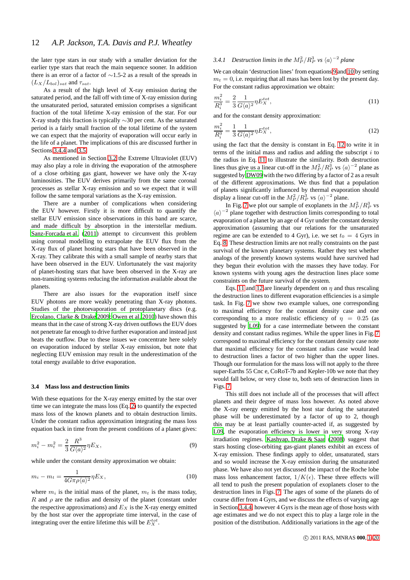the later type stars in our study with a smaller deviation for the earlier type stars that reach the main sequence sooner. In addition there is an error of a factor of ∼1.5-2 as a result of the spreads in  $(L_X/L_{bol})_{sat}$  and  $\tau_{sat}$ .

As a result of the high level of X-ray emission during the saturated period, and the fall off with time of X-ray emission during the unsaturated period, saturated emission comprises a significant fraction of the total lifetime X-ray emission of the star. For our X-ray study this fraction is typically ∼30 per cent. As the saturated period is a fairly small fraction of the total lifetime of the system we can expect that the majority of evaporation will occur early in the life of a planet. The implications of this are discussed further in Sections [3.4.4](#page-14-0) and [3.5.](#page-14-1)

As mentioned in Section [3.2](#page-8-0) the Extreme Ultraviolet (EUV) may also play a role in driving the evaporation of the atmosphere of a close orbiting gas giant, however we have only the X-ray luminosities. The EUV derives primarily from the same coronal processes as stellar X-ray emission and so we expect that it will follow the same temporal variations as the X-ray emission.

There are a number of complications when considering the EUV however. Firstly it is more difficult to quantify the stellar EUV emission since observations in this band are scarce, and made difficult by absorption in the interstellar medium. [Sanz-Forcada et al. \(2011](#page-19-42)) attempt to circumvent this problem using coronal modelling to extrapolate the EUV flux from the X-ray flux of planet hosting stars that have been observed in the X-ray. They calibrate this with a small sample of nearby stars that have been observed in the EUV. Unfortunately the vast majority of planet-hosting stars that have been observed in the X-ray are non-transiting systems reducing the information available about the planets.

There are also issues for the evaporation itself since EUV photons are more weakly penetrating than X-ray photons. Studies of the photoevaporation of protoplanetary discs (e.g. [Ercolano, Clarke & Drake 2009](#page-18-69); [Owen et al. 2010](#page-18-70)) have shown this means that in the case of strong X-ray driven outflows the EUV does not penetrate far enough to drive further evaporation and instead just heats the outflow. Due to these issues we concentrate here solely on evaporation induced by stellar X-ray emission, but note that neglecting EUV emission may result in the underestimation of the total energy available to drive evaporation.

## **3.4 Mass loss and destruction limits**

With these equations for the X-ray energy emitted by the star over time we can integrate the mass loss (Eq. [2\)](#page-9-1) to quantify the expected mass loss of the known planets and to obtain destruction limits. Under the constant radius approximation integrating the mass loss equation back in time from the present conditions of a planet gives:

$$
m_i^2 - m_t^2 = \frac{2}{3} \frac{R^3}{G \langle a \rangle^2} \eta E_X,\tag{9}
$$

while under the constant density approximation we obtain:

$$
m_i - m_t = \frac{1}{4G\pi\rho\langle a \rangle^2} \eta E_X,\tag{10}
$$

where  $m_i$  is the initial mass of the planet,  $m_t$  is the mass today, R and  $\rho$  are the radius and density of the planet (constant under the respective approximations) and  $E<sub>X</sub>$  is the X-ray energy emitted by the host star over the appropriate time interval, in the case of integrating over the entire lifetime this will be  $E_X^{tot}$ .

# <span id="page-11-4"></span>3.4.1 Destruction limits in the  $M_P^2/R_P^3$  vs  $\langle a \rangle^{-2}$  plane

We can obtain 'destruction lines' from equations [9](#page-11-0) and [10](#page-11-1) by setting  $m<sub>t</sub> = 0$ , i.e. requiring that all mass has been lost by the present day. For the constant radius approximation we obtain:

<span id="page-11-3"></span>
$$
\frac{m_i^2}{R_i^3} = \frac{2}{3} \frac{1}{G\langle a \rangle^2} \eta E_X^{tot},\tag{11}
$$

and for the constant density approximation:

<span id="page-11-2"></span>
$$
\frac{m_i^2}{R_i^3} = \frac{1}{3} \frac{1}{G\langle a \rangle^2} \eta E_X^{tot},\tag{12}
$$

using the fact that the density is constant in Eq. [12](#page-11-2) to write it in terms of the initial mass and radius and adding the subscript  $i$  to the radius in Eq. [11](#page-11-3) to illustrate the similarity. Both destruction lines thus give us a linear cut-off in the  $M_P^2/R_P^3$  vs  $\langle a \rangle^{-2}$  plane as suggested by [DW09](#page-18-4) with the two differing by a factor of 2 as a result of the different approximations. We thus find that a population of planets significantly influenced by thermal evaporation should display a linear cut-off in the  $M_P^2/R_P^3$  vs  $\langle a \rangle^{-2}$  plane.

In Fig. [7](#page-12-0) we plot our sample of exoplanets in the  $M_P^2/R_P^3$  vs  $\langle a \rangle$ <sup>-2</sup> plane together with destruction limits corresponding to total evaporation of a planet by an age of 4 Gyr under the constant density approximation (assuming that our relations for the unsaturated regime are can be extended to 4 Gyr), i.e. we set  $t_0 = 4$  Gyrs in Eq. [8.](#page-10-1) These destruction limits are not really constraints on the past survival of the known planetary systems. Rather they test whether analogs of the presently known systems would have survived had they begun their evolution with the masses they have today. For known systems with young ages the destruction lines place some constraints on the future survival of the system.

Eqs. [11](#page-11-3) and [12](#page-11-2) are linearly dependent on  $\eta$  and thus rescaling the destruction lines to different evaporation efficiencies is a simple task. In Fig. [7](#page-12-0) we show two example values, one corresponding to maximal efficiency for the constant density case and one corresponding to a more realistic efficiency of  $\eta = 0.25$  (as suggested by [L09\)](#page-18-8) for a case intermediate between the constant density and constant radius regimes. While the upper lines in Fig. [7](#page-12-0) correspond to maximal efficiency for the constant density case note that maximal efficiency for the constant radius case would lead to destruction lines a factor of two higher than the upper lines. Though our formulation for the mass loss will not apply to the three super-Earths 55 Cnc e, CoRoT-7b and Kepler-10b we note that they would fall below, or very close to, both sets of destruction lines in Figs. [7.](#page-12-0)

<span id="page-11-1"></span><span id="page-11-0"></span>This still does not include all of the processes that will affect planets and their degree of mass loss however. As noted above the X-ray energy emitted by the host star during the saturated phase will be underestimated by a factor of up to 2, though this may be at least partially counter-acted if, as suggested by [L09](#page-18-8), the evaporation efficiency is lower in very strong X-ray irradiation regimes. [Kashyap, Drake & Saar \(2008](#page-18-71)) suggest that stars hosting close-orbiting gas-giant planets exhibit an excess of X-ray emission. These findings apply to older, unsaturated, stars and so would increase the X-ray emission during the unsaturated phase. We have also not yet discussed the impact of the Roche lobe mass loss enhancement factor,  $1/K(\epsilon)$ . These three effects will all tend to push the present population of exoplanets closer to the destruction lines in Figs. [7.](#page-12-0) The ages of some of the planets do of course differ from 4 Gyrs, and we discuss the effects of varying age in Section [3.4.4,](#page-14-0) however 4 Gyrs is the mean age of those hosts with age estimates and we do not expect this to play a large role in the position of the distribution. Additionally variations in the age of the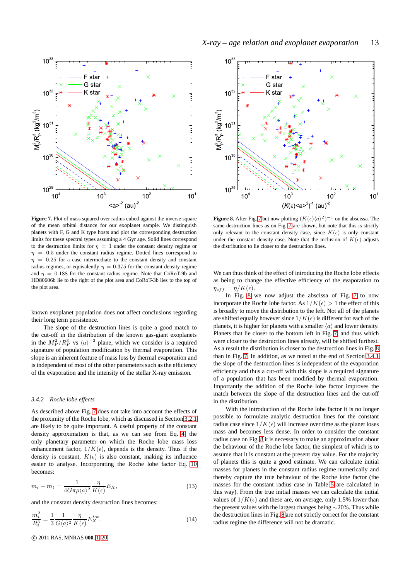

<span id="page-12-0"></span>**Figure 7.** Plot of mass squared over radius cubed against the inverse square of the mean orbital distance for our exoplanet sample. We distinguish planets with F, G and K type hosts and plot the corresponding destruction limits for these spectral types assuming a 4 Gyr age. Solid lines correspond to the destruction limits for  $\eta = 1$  under the constant density regime or  $\eta = 0.5$  under the constant radius regime. Dotted lines correspond to  $\eta$  = 0.25 for a case intermediate to the constant density and constant radius regimes, or equivalently  $\eta = 0.375$  for the constant density regime and  $\eta = 0.188$  for the constant radius regime. Note that CoRoT-9b and HD80606b lie to the right of the plot area and CoRoT-3b lies to the top of the plot area.

known exoplanet population does not affect conclusions regarding their long term persistence.

The slope of the destruction lines is quite a good match to the cut-off in the distribution of the known gas-giant exoplanets in the  $M_P^2/R_P^3$  vs  $\langle a \rangle^{-2}$  plane, which we consider is a required signature of population modification by thermal evaporation. This slope is an inherent feature of mass loss by thermal evaporation and is independent of most of the other parameters such as the efficiency of the evaporation and the intensity of the stellar X-ray emission.

#### <span id="page-12-2"></span>*3.4.2 Roche lobe effects*

As described above Fig. [7](#page-12-0) does not take into account the effects of the proximity of the Roche lobe, which as discussed in Section [3.2.1](#page-9-2) are likely to be quite important. A useful property of the constant density approximation is that, as we can see from Eq. [4,](#page-9-3) the only planetary parameter on which the Roche lobe mass loss enhancement factor,  $1/K(\epsilon)$ , depends is the density. Thus if the density is constant,  $K(\epsilon)$  is also constant, making its influence easier to analyse. Incorporating the Roche lobe factor Eq. [10](#page-11-1) becomes:

<span id="page-12-3"></span>
$$
m_i - m_t = \frac{1}{4G\pi\rho\langle a \rangle^2} \frac{\eta}{K(\epsilon)} E_X,\tag{13}
$$

and the constant density destruction lines becomes:

$$
\frac{m_i^2}{R_i^3} = \frac{1}{3} \frac{1}{G\langle a \rangle^2} \frac{\eta}{K(\epsilon)} E_X^{tot}.
$$
\n(14)

c 2011 RAS, MNRAS **000**, [1–](#page-0-0)20



<span id="page-12-1"></span>**Figure 8.** After Fig. [7](#page-12-0) but now plotting  $(K(\epsilon)\langle a \rangle^2)^{-1}$  on the abscissa. The same destruction lines as on Fig. [7](#page-12-0) are shown, but note that this is strictly only relevant to the constant density case, since  $K(\epsilon)$  is only constant under the constant density case. Note that the inclusion of  $K(\epsilon)$  adjusts the distribution to lie closer to the destruction lines.

We can thus think of the effect of introducing the Roche lobe effects as being to change the effective efficiency of the evaporation to  $\eta_{eff} = \eta/K(\epsilon).$ 

In Fig. [8](#page-12-1) we now adjust the abscissa of Fig. [7](#page-12-0) to now incorporate the Roche lobe factor. As  $1/K(\epsilon) > 1$  the effect of this is broadly to move the distribution to the left. Not all of the planets are shifted equally however since  $1/K(\epsilon)$  is different for each of the planets, it is higher for planets with a smaller  $\langle a \rangle$  and lower density. Planets that lie closer to the bottom left in Fig. [7,](#page-12-0) and thus which were closer to the destruction lines already, will be shifted furthest. As a result the distribution is closer to the destruction lines in Fig. [8](#page-12-1) than in Fig. [7.](#page-12-0) In addition, as we noted at the end of Section [3.4.1](#page-11-4) the slope of the destruction lines is independent of the evaporation efficiency and thus a cut-off with this slope is a required signature of a population that has been modified by thermal evaporation. Importantly the addition of the Roche lobe factor improves the match between the slope of the destruction lines and the cut-off in the distribution.

With the introduction of the Roche lobe factor it is no longer possible to formulate analytic destruction lines for the constant radius case since  $1/K(\epsilon)$  will increase over time as the planet loses mass and becomes less dense. In order to consider the constant radius case on Fig. [8](#page-12-1) it is necessary to make an approximation about the behaviour of the Roche lobe factor, the simplest of which is to assume that it is constant at the present day value. For the majority of planets this is quite a good estimate. We can calculate initial masses for planets in the constant radius regime numerically and thereby capture the true behaviour of the Roche lobe factor (the masses for the constant radius case in Table [5](#page-16-0) are calculated in this way). From the true initial masses we can calculate the initial values of  $1/K(\epsilon)$  and these are, on average, only 1.5% lower than the present values with the largest changes being ∼20%. Thus while the destruction lines in Fig. [8](#page-12-1) are not strictly correct for the constant radius regime the difference will not be dramatic.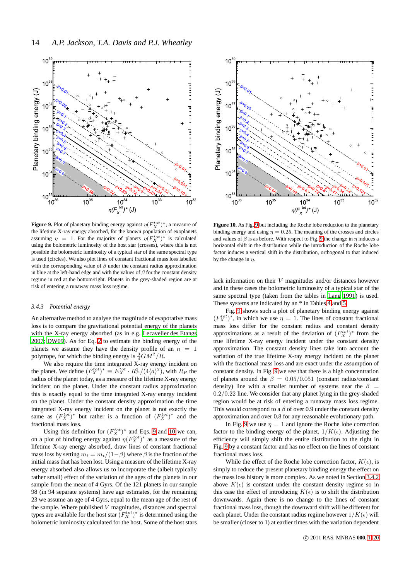

<span id="page-13-1"></span>**Figure 9.** Plot of planetary binding energy against  $\eta(F_X^{tot})^*$ , a measure of the lifetime X-ray energy absorbed, for the known population of exoplanets assuming  $\eta = 1$ . For the majority of planets  $\eta(F_X^{tot})^*$  is calculated using the bolometric luminosity of the host star (crosses), where this is not possible the bolometric luminosity of a typical star of the same spectral type is used (circles). We also plot lines of constant fractional mass loss labelled with the corresponding value of  $\beta$  under the constant radius approximation in blue at the left-hand edge and with the values of  $\beta$  for the constant density regime in red at the bottom/right. Planets in the grey-shaded region are at risk of entering a runaway mass loss regime.

#### <span id="page-13-0"></span>*3.4.3 Potential energy*

An alternative method to analyse the magnitude of evaporative mass loss is to compare the gravitational potential energy of the planets with the X-ray energy absorbed (as in e.g. [Lecavelier des Etangs](#page-18-7) [2007](#page-18-7); [DW09](#page-18-4)). As for Eq. [2](#page-9-1) to estimate the binding energy of the planets we assume they have the density profile of an  $n = 1$ polytrope, for which the binding energy is  $\frac{3}{4}GM^2/R$ .

We also require the time integrated X-ray energy incident on the planet. We define  $(F_X^{tot})^* \equiv E_X^{tot} \cdot R_P^2/(4\langle a \rangle^2)$ , with  $R_P$  the radius of the planet today, as a measure of the lifetime X-ray energy incident on the planet. Under the constant radius approximation this is exactly equal to the time integrated X-ray energy incident on the planet. Under the constant density approximation the time integrated X-ray energy incident on the planet is not exactly the same as  $(F_X^{tot})^*$  but rather is a function of  $(F_X^{tot})^*$  and the fractional mass loss.

Using this definition for  $(F_X^{tot})^*$  and Eqs. [9](#page-11-0) and [10](#page-11-1) we can, on a plot of binding energy against  $\eta(F_X^{tot})^*$  as a measure of the lifetime X-ray energy absorbed, draw lines of constant fractional mass loss by setting  $m_i = m_t/(1-\beta)$  where  $\beta$  is the fraction of the initial mass that has been lost. Using a measure of the lifetime X-ray energy absorbed also allows us to incorporate the (albeit typically rather small) effect of the variation of the ages of the planets in our sample from the mean of 4 Gyrs. Of the 121 planets in our sample 98 (in 94 separate systems) have age estimates, for the remaining 23 we assume an age of 4 Gyrs, equal to the mean age of the rest of the sample. Where published  $V$  magnitudes, distances and spectral types are available for the host star  $(F_X^{tot})^*$  is determined using the bolometric luminosity calculated for the host. Some of the host stars



<span id="page-13-2"></span>**Figure 10.** As Fig. [9](#page-13-1) but including the Roche lobe reduction to the planetary binding energy and using  $\eta = 0.25$ . The meaning of the crosses and circles and values of  $\beta$  is as before. With respect to Fig. [9](#page-13-1) the change in  $\eta$  induces a horizontal shift in the distribution while the introduction of the Roche lobe factor induces a vertical shift in the distribution, orthogonal to that induced by the change in  $\eta$ .

lack information on their V magnitudes and/or distances however and in these cases the bolometric luminosity of a typical star of the same spectral type (taken from the tables in [Lang 1991\)](#page-18-17) is used. These systems are indicated by an \* in Tables [4](#page-9-0) and [5.](#page-16-0)

Fig. [9](#page-13-1) shows such a plot of planetary binding energy against  $(F_X^{tot})^*$ , in which we use  $\eta = 1$ . The lines of constant fractional mass loss differ for the constant radius and constant density approximations as a result of the deviation of  $(F_X^{tot})^*$  from the true lifetime X-ray energy incident under the constant density approximation. The constant density lines take into account the variation of the true lifetime X-ray energy incident on the planet with the fractional mass loss and are exact under the assumption of constant density. In Fig. [9](#page-13-1) we see that there is a high concentration of planets around the  $\beta = 0.05/0.051$  (constant radius/constant density) line with a smaller number of systems near the  $\beta =$ 0.2/0.22 line. We consider that any planet lying in the grey-shaded region would be at risk of entering a runaway mass loss regime. This would correspond to a  $\beta$  of over 0.9 under the constant density approximation and over 0.8 for any reasonable evolutionary path.

In Fig. [9](#page-13-1) we use  $\eta = 1$  and ignore the Roche lobe correction factor to the binding energy of the planet,  $1/K(\epsilon)$ . Adjusting the efficiency will simply shift the entire distribution to the right in Fig. [9](#page-13-1) by a constant factor and has no effect on the lines of constant fractional mass loss.

While the effect of the Roche lobe correction factor,  $K(\epsilon)$ , is simply to reduce the present planetary binding energy the effect on the mass loss history is more complex. As we noted in Section [3.4.2](#page-12-2) above  $K(\epsilon)$  is constant under the constant density regime so in this case the effect of introducing  $K(\epsilon)$  is to shift the distribution downwards. Again there is no change to the lines of constant fractional mass loss, though the downward shift will be different for each planet. Under the constant radius regime however  $1/K(\epsilon)$  will be smaller (closer to 1) at earlier times with the variation dependent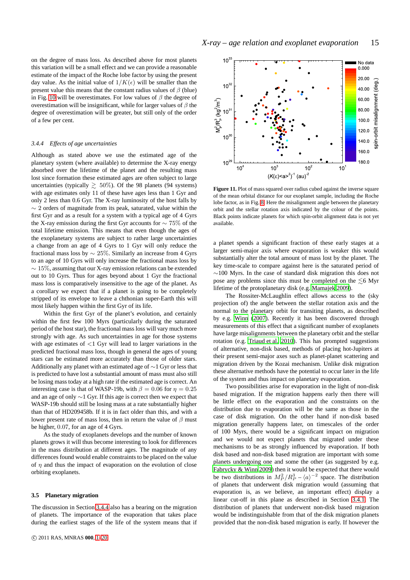on the degree of mass loss. As described above for most planets this variation will be a small effect and we can provide a reasonable estimate of the impact of the Roche lobe factor by using the present day value. As the initial value of  $1/K(\epsilon)$  will be smaller than the present value this means that the constant radius values of  $\beta$  (blue) in Fig. [10](#page-13-2) will be overestimates. For low values of  $\beta$  the degree of overestimation will be insignificant, while for larger values of  $\beta$  the degree of overestimation will be greater, but still only of the order of a few per cent.

#### <span id="page-14-0"></span>*3.4.4 Effects of age uncertainties*

Although as stated above we use the estimated age of the planetary system (where available) to determine the X-ray energy absorbed over the lifetime of the planet and the resulting mass lost since formation these estimated ages are often subject to large uncertainties (typically  $\geq 50\%$ ). Of the 98 planets (94 systems) with age estimates only 11 of these have ages less than 1 Gyr and only 2 less than 0.6 Gyr. The X-ray luminosity of the host falls by  $\sim$  2 orders of magnitude from its peak, saturated, value within the first Gyr and as a result for a system with a typical age of 4 Gyrs the X-ray emission during the first Gyr accounts for ∼ 75% of the total lifetime emission. This means that even though the ages of the exoplanetary systems are subject to rather large uncertainties a change from an age of 4 Gyrs to 1 Gyr will only reduce the fractional mass loss by  $\sim$  25%. Similarly an increase from 4 Gyrs to an age of 10 Gyrs will only increase the fractional mass loss by  $\sim 15\%$ , assuming that our X-ray emission relations can be extended out to 10 Gyrs. Thus for ages beyond about 1 Gyr the fractional mass loss is comparatively insensitive to the age of the planet. As a corollary we expect that if a planet is going to be completely stripped of its envelope to leave a chthonian super-Earth this will most likely happen within the first Gyr of its life.

Within the first Gyr of the planet's evolution, and certainly within the first few 100 Myrs (particularly during the saturated period of the host star), the fractional mass loss will vary much more strongly with age. As such uncertainties in age for those systems with age estimates of  $\langle 1 \text{ Gyr}$  will lead to larger variations in the predicted fractional mass loss, though in general the ages of young stars can be estimated more accurately than those of older stars. Additionally any planet with an estimated age of  $\sim$ 1 Gyr or less that is predicted to have lost a substantial amount of mass must also still be losing mass today at a high rate if the estimated age is correct. An interesting case is that of WASP-19b, with  $\beta = 0.06$  for  $\eta = 0.25$ and an age of only ∼1 Gyr. If this age is correct then we expect that WASP-19b should still be losing mass at a rate substantially higher than that of HD209458b. If it is in fact older than this, and with a lower present rate of mass loss, then in return the value of  $\beta$  must be higher, 0.07, for an age of 4 Gyrs.

As the study of exoplanets develops and the number of known planets grows it will thus become interesting to look for differences in the mass distribution at different ages. The magnitude of any differences found would enable constraints to be placed on the value of  $\eta$  and thus the impact of evaporation on the evolution of close orbiting exoplanets.

#### <span id="page-14-1"></span>**3.5 Planetary migration**

The discussion in Section [3.4.4](#page-14-0) also has a bearing on the migration of planets. The importance of the evaporation that takes place during the earliest stages of the life of the system means that if



<span id="page-14-2"></span>Figure 11. Plot of mass squared over radius cubed against the inverse square of the mean orbital distance for our exoplanet sample, including the Roche lobe factor, as in Fig. [8.](#page-12-1) Here the misalignment angle between the planetary orbit and the stellar rotation axis indicated by the colour of the points. Black points indicate planets for which spin-orbit alignment data is not yet available.

a planet spends a significant fraction of these early stages at a larger semi-major axis where evaporation is weaker this would substantially alter the total amount of mass lost by the planet. The key time-scale to compare against here is the saturated period of ∼100 Myrs. In the case of standard disk migration this does not pose any problems since this must be completed on the  $\leq 6$  Myr lifetime of the protoplanetary disk (e.g. [Mamajek 2009](#page-18-72)).

The Rossiter-McLaughlin effect allows access to the (sky projection of) the angle between the stellar rotation axis and the normal to the planetary orbit for transiting planets, as described by e.g. [Winn](#page-19-43) [\(2007](#page-19-43)). Recently it has been discovered through measurements of this effect that a significant number of exoplanets have large misalignments between the planetary orbit and the stellar rotation (e.g. [Triaud et al. 2010\)](#page-19-44). This has prompted suggestions of alternative, non-disk based, methods of placing hot-Jupiters at their present semi-major axes such as planet-planet scattering and migration driven by the Kozai mechanism. Unlike disk migration these alternative methods have the potential to occur later in the life of the system and thus impact on planetary evaporation.

Two possibilities arise for evaporation in the light of non-disk based migration. If the migration happens early then there will be little effect on the evaporation and the constraints on the distribution due to evaporation will be the same as those in the case of disk migration. On the other hand if non-disk based migration generally happens later, on timescales of the order of 100 Myrs, there would be a significant impact on migration and we would not expect planets that migrated under these mechanisms to be as strongly influenced by evaporation. If both disk based and non-disk based migration are important with some planets undergoing one and some the other (as suggested by e.g. [Fabrycky & Winn 2009](#page-18-73)) then it would be expected that there would be two distributions in  $M_P^2/R_P^3 - \langle a \rangle^{-2}$  space. The distribution of planets that underwent disk migration would (assuming that evaporation is, as we believe, an important effect) display a linear cut-off in this plane as described in Section [3.4.1.](#page-11-4) The distribution of planets that underwent non-disk based migration would be indistinguishable from that of the disk migration planets provided that the non-disk based migration is early. If however the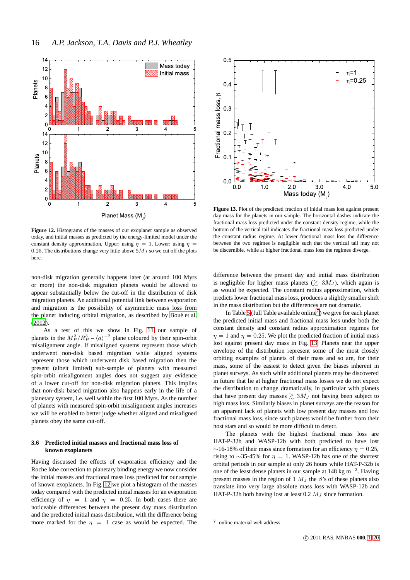

<span id="page-15-0"></span>**Figure 12.** Histograms of the masses of our exoplanet sample as observed today, and initial masses as predicted by the energy-limited model under the constant density approximation. Upper: using  $\eta = 1$ . Lower: using  $\eta =$ 0.25. The distributions change very little above  $5M_J$  so we cut off the plots here.

non-disk migration generally happens later (at around 100 Myrs or more) the non-disk migration planets would be allowed to appear substantially below the cut-off in the distribution of disk migration planets. An additional potential link between evaporation and migration is the possibility of asymmetric mass loss from the planet inducing orbital migration, as described by Boué et al. [\(2012](#page-18-74)).

As a test of this we show in Fig. [11](#page-14-2) our sample of planets in the  $M_P^2/R_P^3 - \langle a \rangle^{-2}$  plane coloured by their spin-orbit misalignment angle. If misaligned systems represent those which underwent non-disk based migration while aligned systems represent those which underwent disk based migration then the present (albeit limited) sub-sample of planets with measured spin-orbit misalignment angles does not suggest any evidence of a lower cut-off for non-disk migration planets. This implies that non-disk based migration also happens early in the life of a planetary system, i.e. well within the first 100 Myrs. As the number of planets with measured spin-orbit misalignment angles increases we will be enabled to better judge whether aligned and misaligned planets obey the same cut-off.

## <span id="page-15-3"></span>**3.6 Predicted initial masses and fractional mass loss of known exoplanets**

Having discussed the effects of evaporation efficiency and the Roche lobe correction to planetary binding energy we now consider the initial masses and fractional mass loss predicted for our sample of known exoplanets. In Fig. [12](#page-15-0) we plot a histogram of the masses today compared with the predicted initial masses for an evaporation efficiency of  $\eta = 1$  and  $\eta = 0.25$ . In both cases there are noticeable differences between the present day mass distribution and the predicted initial mass distribution, with the difference being more marked for the  $\eta = 1$  case as would be expected. The



<span id="page-15-2"></span>**Figure 13.** Plot of the predicted fraction of initial mass lost against present day mass for the planets in our sample. The horizontal dashes indicate the fractional mass loss predicted under the constant density regime, while the bottom of the vertical tail indicates the fractional mass loss predicted under the constant radius regime. At lower fractional mass loss the difference between the two regimes is negligible such that the vertical tail may not be discernible, while at higher fractional mass loss the regimes diverge.

difference between the present day and initial mass distribution is negligible for higher mass planets  $(\gtrsim 3M_J)$ , which again is as would be expected. The constant radius approximation, which predicts lower fractional mass loss, produces a slightly smaller shift in the mass distribution but the differences are not dramatic.

In Table [5](#page-16-0) (full Table available online<sup>[7](#page-15-1)</sup>) we give for each planet the predicted initial mass and fractional mass loss under both the constant density and constant radius approximation regimes for  $\eta = 1$  and  $\eta = 0.25$ . We plot the predicted fraction of initial mass lost against present day mass in Fig. [13.](#page-15-2) Planets near the upper envelope of the distribution represent some of the most closely orbiting examples of planets of their mass and so are, for their mass, some of the easiest to detect given the biases inherent in planet surveys. As such while additional planets may be discovered in future that lie at higher fractional mass losses we do not expect the distribution to change dramatically, in particular with planets that have present day masses  $\geq 3M_J$  not having been subject to high mass loss. Similarly biases in planet surveys are the reason for an apparent lack of planets with low present day masses and low fractional mass loss, since such planets would be further from their host stars and so would be more difficult to detect.

The planets with the highest fractional mass loss are HAT-P-32b and WASP-12b with both predicted to have lost  $\sim$ 16-18% of their mass since formation for an efficiency  $\eta = 0.25$ , rising to ∼35-45% for  $\eta = 1$ . WASP-12b has one of the shortest orbital periods in our sample at only 26 hours while HAT-P-32b is one of the least dense planets in our sample at 148 kg m<sup>−</sup><sup>3</sup> . Having present masses in the region of 1  $M_J$  the  $\beta$ 's of these planets also translate into very large absolute mass loss with WASP-12b and HAT-P-32b both having lost at least 0.2  $M_J$  since formation.

<span id="page-15-1"></span><sup>7</sup> online material web address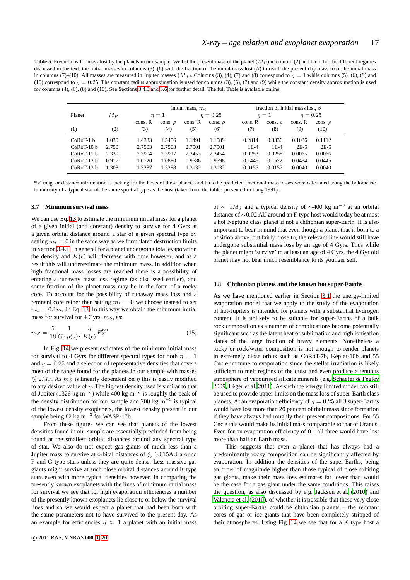<span id="page-16-0"></span>**Table 5.** Predictions for mass lost by the planets in our sample. We list the present mass of the planet  $(M_P)$  in column (2) and then, for the different regimes discussed in the text, the initial masses in columns (3)–(6) with the fraction of the initial mass lost  $(\beta)$  to reach the present day mass from the initial mass in columns (7)–(10). All masses are measured in Jupiter masses  $(M<sub>J</sub>)$ . Columns (3), (4), (7) and (8) correspond to  $\eta = 1$  while columns (5), (6), (9) and (10) correspond to  $\eta = 0.25$ . The constant radius approximation is used for columns (3), (5), (7) and (9) while the constant density approximation is used for columns (4), (6), (8) and (10). See Sections [3.4.3](#page-13-0) and [3.6](#page-15-3) for further detail. The full Table is available online.

|              |         |         | initial mass, $m_i$ |            |              |         | fraction of initial mass lost, $\beta$ |         |               |  |  |  |
|--------------|---------|---------|---------------------|------------|--------------|---------|----------------------------------------|---------|---------------|--|--|--|
| Planet       | $M_{P}$ |         | $\eta=1$            | $n = 0.25$ |              |         | $\eta=1$                               |         | $\eta = 0.25$ |  |  |  |
|              |         | cons. R | cons. $\rho$        | cons. R    | cons. $\rho$ | cons. R | cons. $\rho$                           | cons. R | cons. $\rho$  |  |  |  |
| (1)          | (2)     | (3)     | (4)                 | (5)        | (6)          | (7)     | (8)                                    | (9)     | (10)          |  |  |  |
| $CoRoT-1 b$  | 1.030   | 1.4333  | 1.5456              | 1.1491     | 1.1589       | 0.2814  | 0.3336                                 | 0.1036  | 0.1112        |  |  |  |
| $CoRoT-10 b$ | 2.750   | 2.7503  | 2.7503              | 2.7501     | 2.7501       | $1E-4$  | $1E-4$                                 | $2E-5$  | $2E-5$        |  |  |  |
| $CoRoT-11 b$ | 2.330   | 2.3904  | 2.3917              | 2.3453     | 2.3454       | 0.0253  | 0.0258                                 | 0.0065  | 0.0066        |  |  |  |
| $CoRoT-12 h$ | 0.917   | 1.0720  | 1.0880              | 0.9586     | 0.9598       | 0.1446  | 0.1572                                 | 0.0434  | 0.0445        |  |  |  |
| $CoRoT-13 h$ | 1.308   | 1.3287  | 1.3288              | 1.3132     | 1.3132       | 0.0155  | 0.0157                                 | 0.0040  | 0.0040        |  |  |  |

\*V mag. or distance information is lacking for the hosts of these planets and thus the predicted fractional mass losses were calculated using the bolometric luminosity of a typical star of the same spectral type as the host (taken from the tables presented in Lang 1991).

## **3.7 Minimum survival mass**

We can use Eq. [13](#page-12-3) to estimate the minimum initial mass for a planet of a given initial (and constant) density to survive for 4 Gyrs at a given orbital distance around a star of a given spectral type by setting  $m_t = 0$  in the same way as we formulated destruction limits in Section [3.4.1.](#page-11-4) In general for a planet undergoing total evaporation the density and  $K(\epsilon)$  will decrease with time however, and as a result this will underestimate the minimum mass. In addition when high fractional mass losses are reached there is a possibility of entering a runaway mass loss regime (as discussed earlier), and some fraction of the planet mass may be in the form of a rocky core. To account for the possibility of runaway mass loss and a remnant core rather than setting  $m_t = 0$  we choose instead to set  $m_t = 0.1m_i$  in Eq. [13.](#page-12-3) In this way we obtain the minimum initial mass for survival for 4 Gyrs,  $m<sub>S</sub>$ , as:

$$
m_S = \frac{5}{18} \frac{1}{G\pi \rho \langle a \rangle^2} \frac{\eta}{K(\epsilon)} E_X^{tot}
$$
 (15)

In Fig. [14](#page-17-1) we present estimates of the minimum initial mass for survival to 4 Gyrs for different spectral types for both  $\eta = 1$ and  $\eta = 0.25$  and a selection of representative densities that covers most of the range found for the planets in our sample with masses  $\leq 2M_J$ . As  $m_S$  is linearly dependent on  $\eta$  this is easily modified to any desired value of  $\eta$ . The highest density used is similar to that of Jupiter (1326 kg m<sup>-3</sup>) while 400 kg m<sup>-3</sup> is roughly the peak of the density distribution for our sample and 200 kg  $m^{-3}$  is typical of the lowest density exoplanets, the lowest density present in our sample being  $82 \text{ kg m}^{-3}$  for WASP-17b.

From these figures we can see that planets of the lowest densities found in our sample are essentially precluded from being found at the smallest orbital distances around any spectral type of star. We also do not expect gas giants of much less than a Jupiter mass to survive at orbital distances of  $\leq 0.015$ AU around F and G type stars unless they are quite dense. Less massive gas giants might survive at such close orbital distances around K type stars even with more typical densities however. In comparing the presently known exoplanets with the lines of minimum initial mass for survival we see that for high evaporation efficiencies a number of the presently known exoplanets lie close to or below the survival lines and so we would expect a planet that had been born with the same parameters not to have survived to the present day. As an example for efficiencies  $\eta \approx 1$  a planet with an initial mass

of  $\sim 1 M_J$  and a typical density of  $\sim$ 400 kg m<sup>-3</sup> at an orbital distance of ∼0.02 AU around an F-type host would today be at most a hot Neptune class planet if not a chthonian super-Earth. It is also important to bear in mind that even though a planet that is born to a position above, but fairly close to, the relevant line would still have undergone substantial mass loss by an age of 4 Gyrs. Thus while the planet might 'survive' to at least an age of 4 Gyrs, the 4 Gyr old planet may not bear much resemblance to its younger self.

## **3.8 Chthonian planets and the known hot super-Earths**

As we have mentioned earlier in Section [3.1](#page-7-0) the energy-limited evaporation model that we apply to the study of the evaporation of hot-Jupiters is intended for planets with a substantial hydrogen content. It is unlikely to be suitable for super-Earths of a bulk rock composition as a number of complications become potentially significant such as the latent heat of sublimation and high ionisation states of the large fraction of heavy elements. Nonetheless a rocky or rock/water composition is not enough to render planets in extremely close orbits such as CoRoT-7b, Kepler-10b and 55 Cnc e immune to evaporation since the stellar irradiation is likely sufficient to melt regions of the crust and even produce a tenuous atmosphere of vapourised silicate minerals (e.g. Schaefer [& Fegley](#page-19-45) [2009](#page-19-45), Léger et al. 2011). As such the energy limited model can still be used to provide upper limits on the mass loss of super-Earth class planets. At an evaporation efficiency of  $\eta = 0.25$  all 3 super-Earths would have lost more than 20 per cent of their mass since formation if they have always had roughly their present compositions. For 55 Cnc e this would make its initial mass comparable to that of Uranus. Even for an evaporation efficiency of 0.1 all three would have lost more than half an Earth mass.

This suggests that even a planet that has always had a predominantly rocky composition can be significantly affected by evaporation. In addition the densities of the super-Earths, being an order of magnitude higher than those typical of close orbiting gas giants, make their mass loss estimates far lower than would be the case for a gas giant under the same conditions. This raises the question, as also discussed by e.g. [Jackson et al. \(2010](#page-18-39)) and [Valencia et al. \(2010](#page-19-34)), of whether it is possible that these very close orbiting super-Earths could be chthonian planets – the remnant cores of gas or ice giants that have been completely stripped of their atmospheres. Using Fig. [14](#page-17-1) we see that for a K type host a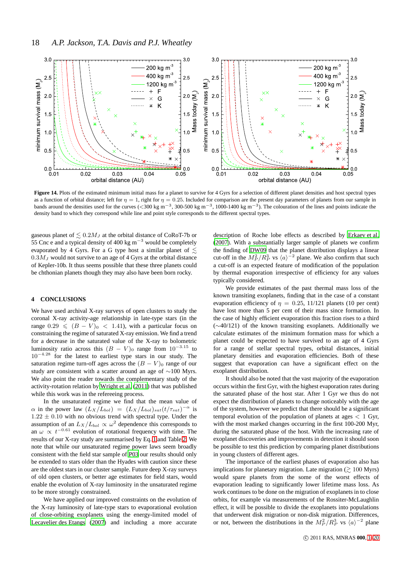

<span id="page-17-1"></span>Figure 14. Plots of the estimated minimum initial mass for a planet to survive for 4 Gyrs for a selection of different planet densities and host spectral types as a function of orbital distance; left for  $\eta = 1$ , right for  $\eta = 0.25$ . Included for comparison are the present day parameters of planets from our sample in bands around the densities used for the curves (<300 kg m<sup>-3</sup>, 300-500 kg m<sup>-3</sup>, 1000-1400 kg m<sup>-3</sup>). The colouration of the lines and points indicate the density band to which they correspond while line and point style corresponds to the different spectral types.

gaseous planet of  $\leq 0.2M_J$  at the orbital distance of CoRoT-7b or 55 Cnc e and a typical density of 400 kg m<sup>-3</sup> would be completely evaporated by 4 Gyrs. For a G type host a similar planet of  $\leq$  $0.3M_J$  would not survive to an age of 4 Gyrs at the orbital distance of Kepler-10b. It thus seems possible that these three planets could be chthonian planets though they may also have been born rocky.

## <span id="page-17-0"></span>**4 CONCLUSIONS**

We have used archival X-ray surveys of open clusters to study the coronal X-ray activity-age relationship in late-type stars (in the range  $0.29 \leq (B - V)_0 < 1.41$ , with a particular focus on constraining the regime of saturated X-ray emission. We find a trend for a decrease in the saturated value of the X-ray to bolometric luminosity ratio across this  $(B - V)_0$  range from  $10^{-3.15}$  to  $10^{-4.28}$  for the latest to earliest type stars in our study. The saturation regime turn-off ages across the  $(B - V)_0$  range of our study are consistent with a scatter around an age of ∼100 Myrs. We also point the reader towards the complementary study of the activity-rotation relation by [Wright et al. \(2011\)](#page-19-46) that was published while this work was in the refereeing process.

In the unsaturated regime we find that the mean value of  $\alpha$  in the power law  $(L_X/L_{bol}) = (L_X/L_{bol})_{sat} (t/\tau_{sat})^{-\alpha}$  is  $1.22 \pm 0.10$  with no obvious trend with spectral type. Under the assumption of an  $L_X/L_{bol} \propto \omega^2$  dependence this corresponds to an  $\omega \propto t^{-0.61}$  evolution of rotational frequency with time. The results of our X-ray study are summarised by Eq. [1](#page-6-2) and Table [2.](#page-5-2) We note that while our unsaturated regime power laws seem broadly consistent with the field star sample of [P03](#page-19-7) our results should only be extended to stars older than the Hyades with caution since these are the oldest stars in our cluster sample. Future deep X-ray surveys of old open clusters, or better age estimates for field stars, would enable the evolution of X-ray luminosity in the unsaturated regime to be more strongly constrained.

We have applied our improved constraints on the evolution of the X-ray luminosity of late-type stars to evaporational evolution of close-orbiting exoplanets using the energy-limited model of [Lecavelier des Etangs \(2007](#page-18-7)) and including a more accurate

description of Roche lobe effects as described by [Erkaev et al.](#page-18-65) [\(2007](#page-18-65)). With a substantially larger sample of planets we confirm the finding of [DW09](#page-18-4) that the planet distribution displays a linear cut-off in the  $M_P^2/R_P^3$  vs  $\langle a \rangle^{-2}$  plane. We also confirm that such a cut-off is an expected feature of modification of the population by thermal evaporation irrespective of efficiency for any values typically considered.

We provide estimates of the past thermal mass loss of the known transiting exoplanets, finding that in the case of a constant evaporation efficiency of  $\eta = 0.25$ , 11/121 planets (10 per cent) have lost more than 5 per cent of their mass since formation. In the case of highly efficient evaporation this fraction rises to a third (∼40/121) of the known transiting exoplanets. Additionally we calculate estimates of the minimum formation mass for which a planet could be expected to have survived to an age of 4 Gyrs for a range of stellar spectral types, orbital distances, initial planetary densities and evaporation efficiencies. Both of these suggest that evaporation can have a significant effect on the exoplanet distribution.

It should also be noted that the vast majority of the evaporation occurs within the first Gyr, with the highest evaporation rates during the saturated phase of the host star. After 1 Gyr we thus do not expect the distribution of planets to change noticeably with the age of the system, however we predict that there should be a significant temporal evolution of the population of planets at ages  $< 1$  Gyr, with the most marked changes occurring in the first 100-200 Myr, during the saturated phase of the host. With the increasing rate of exoplanet discoveries and improvements in detection it should soon be possible to test this prediction by comparing planet distributions in young clusters of different ages.

The importance of the earliest phases of evaporation also has implications for planetary migration. Late migration  $(\gtrsim 100 \text{ Myrs})$ would spare planets from the some of the worst effects of evaporation leading to significantly lower lifetime mass loss. As work continues to be done on the migration of exoplanets in to close orbits, for example via measurements of the Rossiter-McLaughlin effect, it will be possible to divide the exoplanets into populations that underwent disk migration or non-disk migration. Differences, or not, between the distributions in the  $M_P^2/R_P^3$  vs  $\langle a \rangle^{-2}$  plane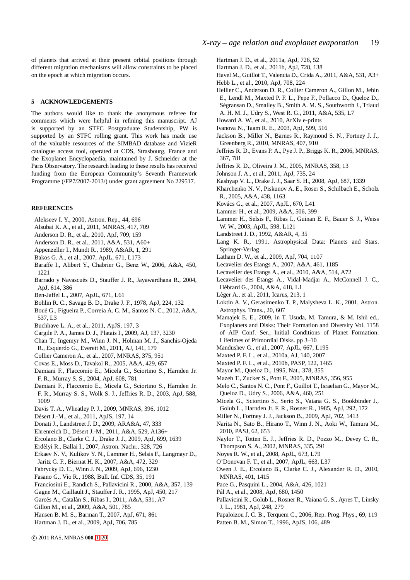## **5 ACKNOWLEDGEMENTS**

The authors would like to thank the anonymous referee for comments which were helpful in refining this manuscript. AJ is supported by an STFC Postgraduate Studentship, PW is supported by an STFC rolling grant. This work has made use of the valuable resources of the SIMBAD database and VizieR catalogue access tool, operated at CDS, Strasbourg, France and the Exoplanet Encyclopaedia, maintained by J. Schneider at the Paris Observatory. The research leading to these results has received funding from the European Community's Seventh Framework Programme (/FP7/2007-2013/) under grant agreement No 229517.

## **REFERENCES**

- <span id="page-18-34"></span>Alekseev I. Y., 2000, Astron. Rep., 44, 696
- <span id="page-18-41"></span>Alsubai K. A., et al., 2011, MNRAS, 417, 709
- <span id="page-18-42"></span>Anderson D. R., et al., 2010, ApJ, 709, 159
- <span id="page-18-43"></span>Anderson D. R., et al., 2011, A&A, 531, A60+
- <span id="page-18-33"></span>Appenzeller I., Mundt R., 1989, A&AR, 1, 291
- <span id="page-18-44"></span>Bakos G. A., et al., 2007, ApJL, 671, L173 ´
- <span id="page-18-67"></span>Baraffe I., Alibert Y., Chabrier G., Benz W., 2006, A&A, 450, 1221
- <span id="page-18-26"></span>Barrado y Navascués D., Stauffer J. R., Jayawardhana R., 2004, ApJ, 614, 386
- <span id="page-18-6"></span>Ben-Jaffel L., 2007, ApJL, 671, L61
- <span id="page-18-16"></span>Bohlin R. C., Savage B. D., Drake J. F., 1978, ApJ, 224, 132
- <span id="page-18-74"></span>Boué G., Figueira P., Correia A. C. M., Santos N. C., 2012, A&A, 537, L3
- <span id="page-18-35"></span>Buchhave L. A., et al., 2011, ApJS, 197, 3
- <span id="page-18-18"></span>Cargile P. A., James D. J., Platais I., 2009, AJ, 137, 3230
- <span id="page-18-45"></span>Chan T., Ingemyr M., Winn J. N., Holman M. J., Sanchis-Ojeda R., Esquerdo G., Everett M., 2011, AJ, 141, 179
- <span id="page-18-46"></span>Collier Cameron A., et al., 2007, MNRAS, 375, 951
- <span id="page-18-11"></span>Covas E., Moss D., Tavakol R., 2005, A&A, 429, 657
- <span id="page-18-23"></span>Damiani F., Flaccomio E., Micela G., Sciortino S., Harnden Jr. F. R., Murray S. S., 2004, ApJ, 608, 781
- <span id="page-18-20"></span>Damiani F., Flaccomio E., Micela G., Sciortino S., Harnden Jr. F. R., Murray S. S., Wolk S. J., Jeffries R. D., 2003, ApJ, 588, 1009
- <span id="page-18-4"></span>Davis T. A., Wheatley P. J., 2009, MNRAS, 396, 1012
- <span id="page-18-47"></span>Désert J.-M., et al., 2011, ApJS, 197, 14
- <span id="page-18-12"></span>Donati J., Landstreet J. D., 2009, ARA&A, 47, 333
- <span id="page-18-66"></span>Ehrenreich D., Désert J.-M., 2011, A&A, 529, A136+
- <span id="page-18-69"></span>Ercolano B., Clarke C. J., Drake J. J., 2009, ApJ, 699, 1639
- <span id="page-18-9"></span>Erd´elyi R., Ballai I., 2007, Astron. Nachr., 328, 726
- <span id="page-18-65"></span>Erkaev N. V., Kulikov Y. N., Lammer H., Selsis F., Langmayr D.,
- Jaritz G. F., Biernat H. K., 2007, A&A, 472, 329
- <span id="page-18-73"></span>Fabrycky D. C., Winn J. N., 2009, ApJ, 696, 1230
- <span id="page-18-30"></span>Fasano G., Vio R., 1988, Bull. Inf. CDS, 35, 191
- <span id="page-18-21"></span>Franciosini E., Randich S., Pallavicini R., 2000, A&A, 357, 139
- <span id="page-18-29"></span>Gagne M., Caillault J., Stauffer J. R., 1995, ApJ, 450, 217
- <span id="page-18-32"></span>Garcés A., Catalán S., Ribas I., 2011, A&A, 531, A7
- <span id="page-18-36"></span>Gillon M., et al., 2009, A&A, 501, 785
- <span id="page-18-3"></span>Hansen B. M. S., Barman T., 2007, ApJ, 671, 861
- <span id="page-18-48"></span>Hartman J. D., et al., 2009, ApJ, 706, 785
- <span id="page-18-49"></span>Hartman J. D., et al., 2011a, ApJ, 726, 52
- <span id="page-18-50"></span>Hartman J. D., et al., 2011b, ApJ, 728, 138
- <span id="page-18-51"></span>Havel M., Guillot T., Valencia D., Crida A., 2011, A&A, 531, A3+
- <span id="page-18-52"></span>Hebb L., et al., 2010, ApJ, 708, 224
- <span id="page-18-53"></span>Hellier C., Anderson D. R., Collier Cameron A., Gillon M., Jehin E., Lendl M., Maxted P. F. L., Pepe F., Pollacco D., Queloz D., Ségransan D., Smalley B., Smith A. M. S., Southworth J., Triaud A. H. M. J., Udry S., West R. G., 2011, A&A, 535, L7
- <span id="page-18-54"></span>Howard A. W., et al., 2010, ArXiv e-prints
- <span id="page-18-14"></span>Ivanova N., Taam R. E., 2003, ApJ, 599, 516
- <span id="page-18-39"></span>Jackson B., Miller N., Barnes R., Raymond S. N., Fortney J. J., Greenberg R., 2010, MNRAS, 407, 910
- <span id="page-18-22"></span>Jeffries R. D., Evans P. A., Pye J. P., Briggs K. R., 2006, MNRAS, 367, 781
- <span id="page-18-28"></span>Jeffries R. D., Oliveira J. M., 2005, MNRAS, 358, 13
- <span id="page-18-37"></span>Johnson J. A., et al., 2011, ApJ, 735, 24
- <span id="page-18-71"></span>Kashyap V. L., Drake J. J., Saar S. H., 2008, ApJ, 687, 1339
- <span id="page-18-24"></span>Kharchenko N. V., Piskunov A. E., Röser S., Schilbach E., Scholz R., 2005, A&A, 438, 1163
- <span id="page-18-55"></span>Kovács G., et al., 2007, ApJL, 670, L41
- <span id="page-18-8"></span>Lammer H., et al., 2009, A&A, 506, 399
- <span id="page-18-64"></span>Lammer H., Selsis F., Ribas I., Guinan E. F., Bauer S. J., Weiss W. W., 2003, ApJL, 598, L121
- <span id="page-18-10"></span>Landstreet J. D., 1992, A&AR, 4, 35
- <span id="page-18-17"></span>Lang K. R., 1991, Astrophysical Data: Planets and Stars. Springer-Verlag
- <span id="page-18-56"></span>Latham D. W., et al., 2009, ApJ, 704, 1107
- <span id="page-18-7"></span>Lecavelier des Etangs A., 2007, A&A, 461, 1185
- <span id="page-18-5"></span>Lecavelier des Etangs A., et al., 2010, A&A, 514, A72
- <span id="page-18-40"></span>Lecavelier des Etangs A., Vidal-Madjar A., McConnell J. C., Hébrard G., 2004, A&A, 418, L1
- <span id="page-18-75"></span>Léger A., et al., 2011, Icarus, 213, 1
- <span id="page-18-25"></span>Loktin A. V., Gerasimenko T. P., Malysheva L. K., 2001, Astron. Astrophys. Trans., 20, 607
- <span id="page-18-72"></span>Mamajek E. E., 2009, in T. Usuda, M. Tamura, & M. Ishii ed., Exoplanets and Disks: Their Formation and Diversity Vol. 1158 of AIP Conf. Ser., Initial Conditions of Planet Formation: Lifetimes of Primordial Disks. pp 3–10
- <span id="page-18-57"></span>Mandushev G., et al., 2007, ApJL, 667, L195
- <span id="page-18-58"></span>Maxted P. F. L., et al., 2010a, AJ, 140, 2007
- <span id="page-18-59"></span>Maxted P. F. L., et al., 2010b, PASP, 122, 1465
- <span id="page-18-0"></span>Mayor M., Queloz D., 1995, Nat., 378, 355
- <span id="page-18-2"></span>Mazeh T., Zucker S., Pont F., 2005, MNRAS, 356, 955
- <span id="page-18-60"></span>Melo C., Santos N. C., Pont F., Guillot T., Israelian G., Mayor M., Queloz D., Udry S., 2006, A&A, 460, 251
- <span id="page-18-15"></span>Micela G., Sciortino S., Serio S., Vaiana G. S., Bookbinder J., Golub L., Harnden Jr. F. R., Rosner R., 1985, ApJ, 292, 172
- <span id="page-18-68"></span>Miller N., Fortney J. J., Jackson B., 2009, ApJ, 702, 1413
- <span id="page-18-38"></span>Narita N., Sato B., Hirano T., Winn J. N., Aoki W., Tamura M., 2010, PASJ, 62, 653
- <span id="page-18-27"></span>Naylor T., Totten E. J., Jeffries R. D., Pozzo M., Devey C. R., Thompson S. A., 2002, MNRAS, 335, 291
- <span id="page-18-61"></span>Noyes R. W., et al., 2008, ApJL, 673, L79
- <span id="page-18-62"></span>O'Donovan F. T., et al., 2007, ApJL, 663, L37
- <span id="page-18-70"></span>Owen J. E., Ercolano B., Clarke C. J., Alexander R. D., 2010, MNRAS, 401, 1415
- <span id="page-18-31"></span>Pace G., Pasquini L., 2004, A&A, 426, 1021
- <span id="page-18-63"></span>Pál A., et al., 2008, ApJ, 680, 1450
- <span id="page-18-13"></span>Pallavicini R., Golub L., Rosner R., Vaiana G. S., Ayres T., Linsky J. L., 1981, ApJ, 248, 279
- <span id="page-18-1"></span>Papaloizou J. C. B., Terquem C., 2006, Rep. Prog. Phys., 69, 119
- <span id="page-18-19"></span>Patten B. M., Simon T., 1996, ApJS, 106, 489